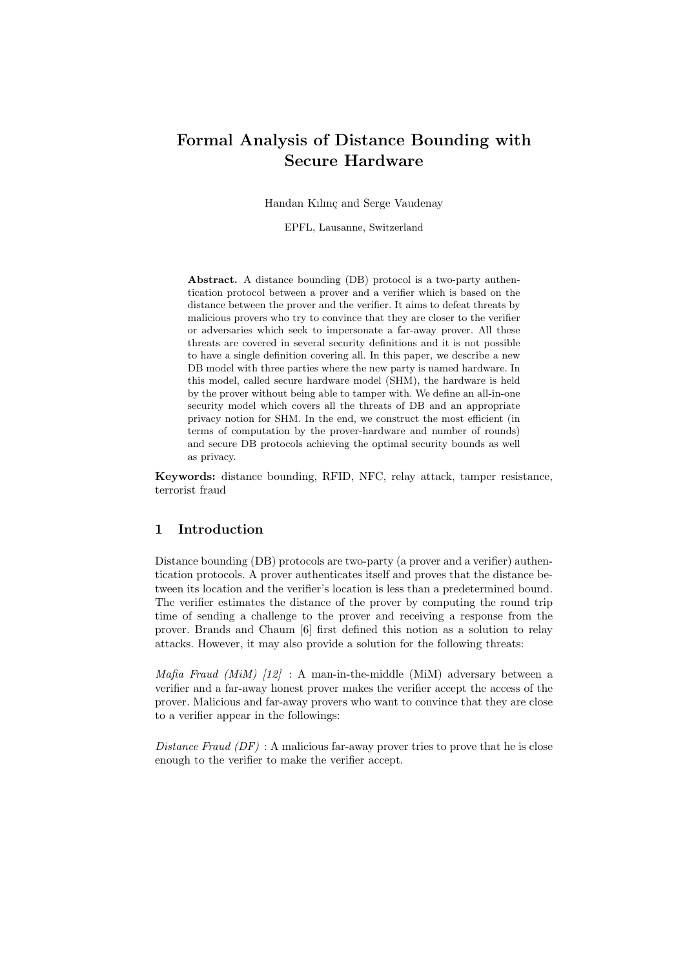# Formal Analysis of Distance Bounding with Secure Hardware

Handan Kılınç and Serge Vaudenay

EPFL, Lausanne, Switzerland

Abstract. A distance bounding (DB) protocol is a two-party authentication protocol between a prover and a verifier which is based on the distance between the prover and the verifier. It aims to defeat threats by malicious provers who try to convince that they are closer to the verifier or adversaries which seek to impersonate a far-away prover. All these threats are covered in several security definitions and it is not possible to have a single definition covering all. In this paper, we describe a new DB model with three parties where the new party is named hardware. In this model, called secure hardware model (SHM), the hardware is held by the prover without being able to tamper with. We define an all-in-one security model which covers all the threats of DB and an appropriate privacy notion for SHM. In the end, we construct the most efficient (in terms of computation by the prover-hardware and number of rounds) and secure DB protocols achieving the optimal security bounds as well as privacy.

Keywords: distance bounding, RFID, NFC, relay attack, tamper resistance, terrorist fraud

## 1 Introduction

Distance bounding (DB) protocols are two-party (a prover and a verifier) authentication protocols. A prover authenticates itself and proves that the distance between its location and the verifier's location is less than a predetermined bound. The verifier estimates the distance of the prover by computing the round trip time of sending a challenge to the prover and receiving a response from the prover. Brands and Chaum [6] first defined this notion as a solution to relay attacks. However, it may also provide a solution for the following threats:

*Mafia Fraud (MiM)*  $12$  : A man-in-the-middle (MiM) adversary between a verifier and a far-away honest prover makes the verifier accept the access of the prover. Malicious and far-away provers who want to convince that they are close to a verifier appear in the followings:

Distance Fraud  $(DF)$ : A malicious far-away prover tries to prove that he is close enough to the verifier to make the verifier accept.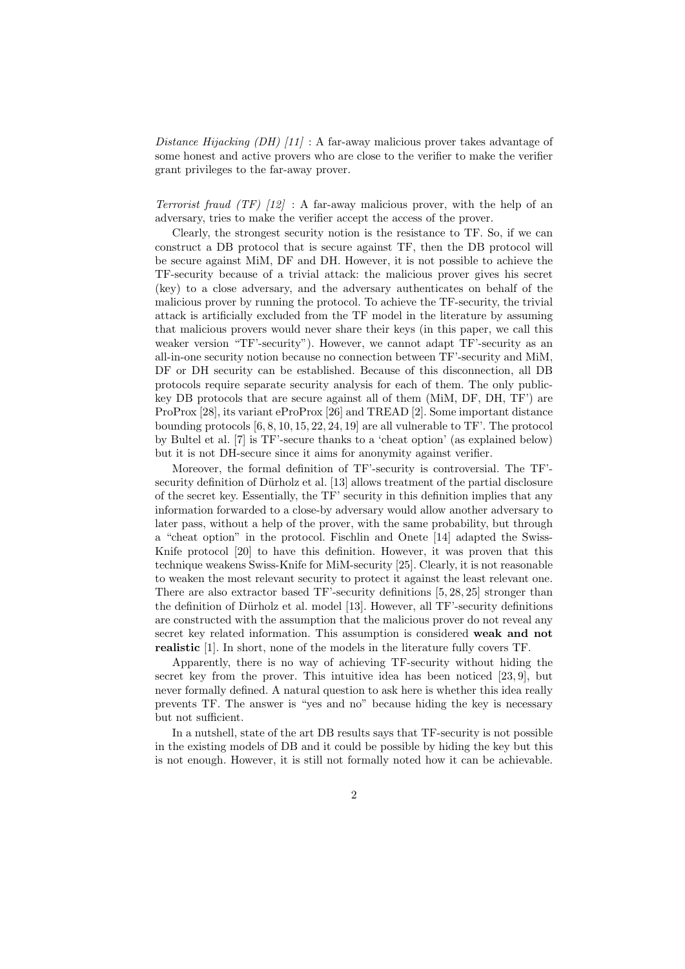Distance Hijacking (DH)  $[11]$  : A far-away malicious prover takes advantage of some honest and active provers who are close to the verifier to make the verifier grant privileges to the far-away prover.

Terrorist fraud (TF)  $[12]$ : A far-away malicious prover, with the help of an adversary, tries to make the verifier accept the access of the prover.

Clearly, the strongest security notion is the resistance to TF. So, if we can construct a DB protocol that is secure against TF, then the DB protocol will be secure against MiM, DF and DH. However, it is not possible to achieve the TF-security because of a trivial attack: the malicious prover gives his secret (key) to a close adversary, and the adversary authenticates on behalf of the malicious prover by running the protocol. To achieve the TF-security, the trivial attack is artificially excluded from the TF model in the literature by assuming that malicious provers would never share their keys (in this paper, we call this weaker version "TF'-security"). However, we cannot adapt TF'-security as an all-in-one security notion because no connection between TF'-security and MiM, DF or DH security can be established. Because of this disconnection, all DB protocols require separate security analysis for each of them. The only publickey DB protocols that are secure against all of them (MiM, DF, DH, TF') are ProProx [28], its variant eProProx [26] and TREAD [2]. Some important distance bounding protocols [6, 8, 10, 15, 22, 24, 19] are all vulnerable to TF'. The protocol by Bultel et al. [7] is TF'-secure thanks to a 'cheat option' (as explained below) but it is not DH-secure since it aims for anonymity against verifier.

Moreover, the formal definition of TF'-security is controversial. The TF' security definition of Dürholz et al. [13] allows treatment of the partial disclosure of the secret key. Essentially, the TF' security in this definition implies that any information forwarded to a close-by adversary would allow another adversary to later pass, without a help of the prover, with the same probability, but through a "cheat option" in the protocol. Fischlin and Onete [14] adapted the Swiss-Knife protocol [20] to have this definition. However, it was proven that this technique weakens Swiss-Knife for MiM-security [25]. Clearly, it is not reasonable to weaken the most relevant security to protect it against the least relevant one. There are also extractor based TF'-security definitions [5, 28, 25] stronger than the definition of Dürholz et al. model  $[13]$ . However, all TF'-security definitions are constructed with the assumption that the malicious prover do not reveal any secret key related information. This assumption is considered weak and not realistic [1]. In short, none of the models in the literature fully covers TF.

Apparently, there is no way of achieving TF-security without hiding the secret key from the prover. This intuitive idea has been noticed [23, 9], but never formally defined. A natural question to ask here is whether this idea really prevents TF. The answer is "yes and no" because hiding the key is necessary but not sufficient.

In a nutshell, state of the art DB results says that TF-security is not possible in the existing models of DB and it could be possible by hiding the key but this is not enough. However, it is still not formally noted how it can be achievable.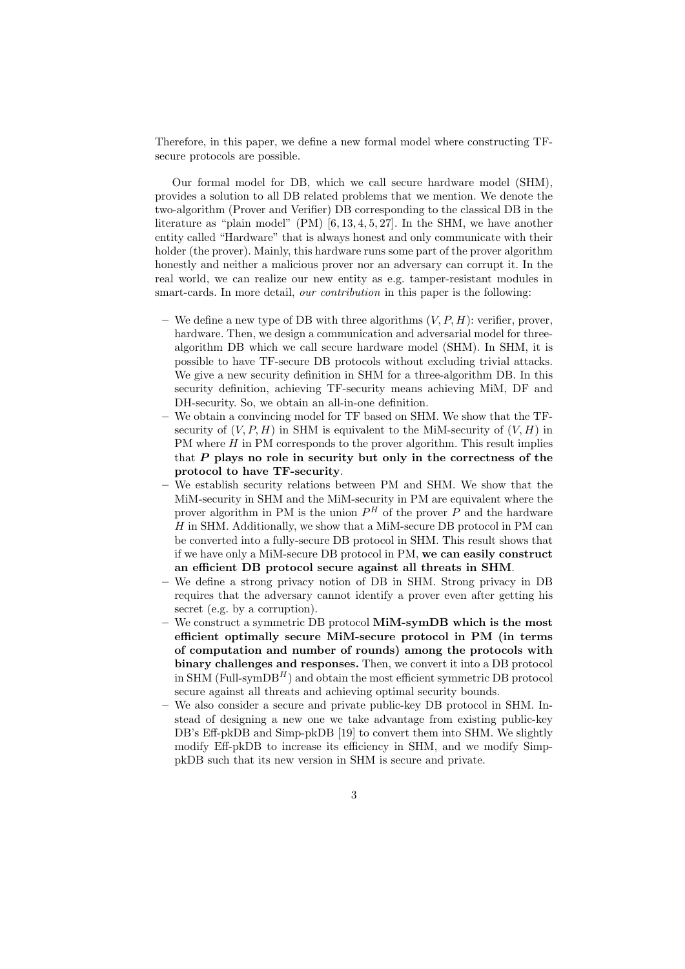Therefore, in this paper, we define a new formal model where constructing TFsecure protocols are possible.

Our formal model for DB, which we call secure hardware model (SHM), provides a solution to all DB related problems that we mention. We denote the two-algorithm (Prover and Verifier) DB corresponding to the classical DB in the literature as "plain model" (PM) [6, 13, 4, 5, 27]. In the SHM, we have another entity called "Hardware" that is always honest and only communicate with their holder (the prover). Mainly, this hardware runs some part of the prover algorithm honestly and neither a malicious prover nor an adversary can corrupt it. In the real world, we can realize our new entity as e.g. tamper-resistant modules in smart-cards. In more detail, *our contribution* in this paper is the following:

- We define a new type of DB with three algorithms  $(V, P, H)$ : verifier, prover, hardware. Then, we design a communication and adversarial model for threealgorithm DB which we call secure hardware model (SHM). In SHM, it is possible to have TF-secure DB protocols without excluding trivial attacks. We give a new security definition in SHM for a three-algorithm DB. In this security definition, achieving TF-security means achieving MiM, DF and DH-security. So, we obtain an all-in-one definition.
- We obtain a convincing model for TF based on SHM. We show that the TFsecurity of  $(V, P, H)$  in SHM is equivalent to the MiM-security of  $(V, H)$  in PM where  $H$  in PM corresponds to the prover algorithm. This result implies that  $P$  plays no role in security but only in the correctness of the protocol to have TF-security.
- We establish security relations between PM and SHM. We show that the MiM-security in SHM and the MiM-security in PM are equivalent where the prover algorithm in PM is the union  $P^H$  of the prover P and the hardware  $H$  in SHM. Additionally, we show that a MiM-secure DB protocol in PM can be converted into a fully-secure DB protocol in SHM. This result shows that if we have only a MiM-secure DB protocol in PM, we can easily construct an efficient DB protocol secure against all threats in SHM.
- We define a strong privacy notion of DB in SHM. Strong privacy in DB requires that the adversary cannot identify a prover even after getting his secret (e.g. by a corruption).
- We construct a symmetric DB protocol MiM-symDB which is the most efficient optimally secure MiM-secure protocol in PM (in terms of computation and number of rounds) among the protocols with binary challenges and responses. Then, we convert it into a DB protocol in SHM (Full-sym $DB<sup>H</sup>$ ) and obtain the most efficient symmetric DB protocol secure against all threats and achieving optimal security bounds.
- We also consider a secure and private public-key DB protocol in SHM. Instead of designing a new one we take advantage from existing public-key DB's Eff-pkDB and Simp-pkDB [19] to convert them into SHM. We slightly modify Eff-pkDB to increase its efficiency in SHM, and we modify SimppkDB such that its new version in SHM is secure and private.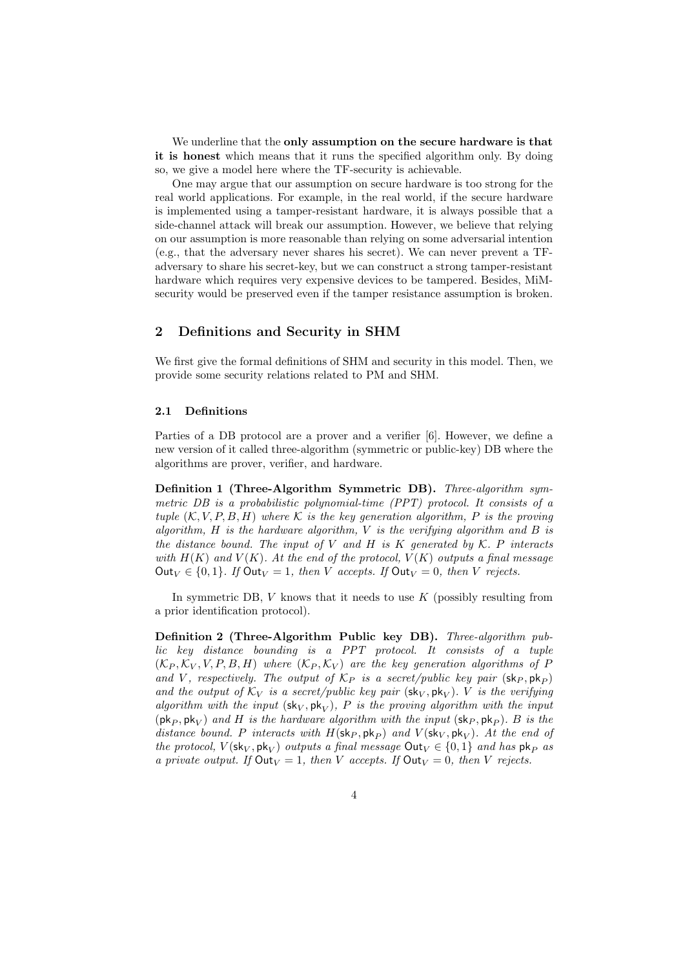We underline that the only assumption on the secure hardware is that it is honest which means that it runs the specified algorithm only. By doing so, we give a model here where the TF-security is achievable.

One may argue that our assumption on secure hardware is too strong for the real world applications. For example, in the real world, if the secure hardware is implemented using a tamper-resistant hardware, it is always possible that a side-channel attack will break our assumption. However, we believe that relying on our assumption is more reasonable than relying on some adversarial intention (e.g., that the adversary never shares his secret). We can never prevent a TFadversary to share his secret-key, but we can construct a strong tamper-resistant hardware which requires very expensive devices to be tampered. Besides, MiMsecurity would be preserved even if the tamper resistance assumption is broken.

## 2 Definitions and Security in SHM

We first give the formal definitions of SHM and security in this model. Then, we provide some security relations related to PM and SHM.

#### 2.1 Definitions

Parties of a DB protocol are a prover and a verifier [6]. However, we define a new version of it called three-algorithm (symmetric or public-key) DB where the algorithms are prover, verifier, and hardware.

Definition 1 (Three-Algorithm Symmetric DB). Three-algorithm symmetric DB is a probabilistic polynomial-time  $(PPT)$  protocol. It consists of a tuple  $(K, V, P, B, H)$  where K is the key generation algorithm, P is the proving algorithm,  $H$  is the hardware algorithm,  $V$  is the verifying algorithm and  $B$  is the distance bound. The input of  $V$  and  $H$  is  $K$  generated by  $K$ . P interacts with  $H(K)$  and  $V(K)$ . At the end of the protocol,  $V(K)$  outputs a final message Out<sub>V</sub>  $\in$  {0, 1}. If Out<sub>V</sub> = 1, then *V* accepts. If Out<sub>V</sub> = 0, then *V* rejects.

In symmetric DB,  $V$  knows that it needs to use  $K$  (possibly resulting from a prior identification protocol).

Definition 2 (Three-Algorithm Public key DB). Three-algorithm public key distance bounding is a PPT protocol. It consists of a tuple  $(\mathcal{K}_P, \mathcal{K}_V, V, P, B, H)$  where  $(\mathcal{K}_P, \mathcal{K}_V)$  are the key generation algorithms of P and V, respectively. The output of  $\mathcal{K}_P$  is a secret/public key pair  $(\mathsf{sk}_P, \mathsf{pk}_P)$ and the output of  $K_V$  is a secret/public key pair  $(\mathsf{sk}_V, \mathsf{pk}_V)$ . V is the verifying algorithm with the input  $(\mathsf{sk}_V, \mathsf{pk}_V)$ , P is the proving algorithm with the input  $(\mathsf{pk}_P, \mathsf{pk}_V)$  and H is the hardware algorithm with the input  $(\mathsf{sk}_P, \mathsf{pk}_P)$ . B is the distance bound. P interacts with  $H(\mathsf{sk}_P, \mathsf{pk}_P)$  and  $V(\mathsf{sk}_V, \mathsf{pk}_V)$ . At the end of the protocol,  $V(\mathsf{sk}_V, \mathsf{pk}_V)$  outputs a final message  $\text{Out}_V \in \{0, 1\}$  and has  $\mathsf{pk}_P$  as a private output. If  $\text{Out}_V = 1$ , then V accepts. If  $\text{Out}_V = 0$ , then V rejects.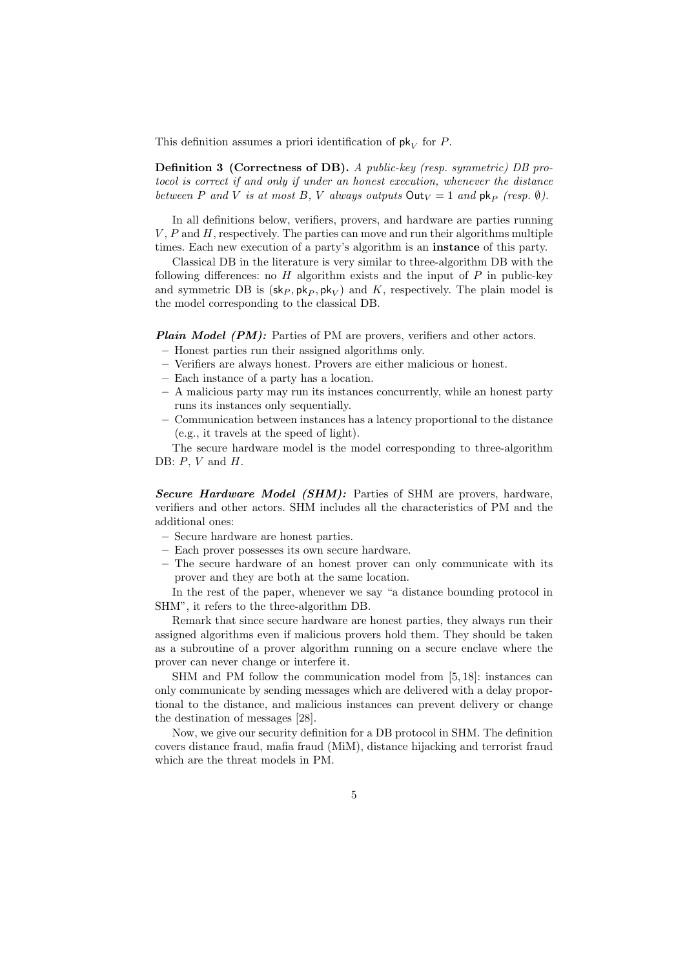This definition assumes a priori identification of  $\mathsf{pk}_V$  for P.

Definition 3 (Correctness of DB). A public-key (resp. symmetric) DB protocol is correct if and only if under an honest execution, whenever the distance between P and V is at most B, V always outputs  $\text{Out}_V = 1$  and  $\text{pk}_P$  (resp.  $\emptyset$ ).

In all definitions below, verifiers, provers, and hardware are parties running  $V, P$  and  $H$ , respectively. The parties can move and run their algorithms multiple times. Each new execution of a party's algorithm is an instance of this party.

Classical DB in the literature is very similar to three-algorithm DB with the following differences: no  $H$  algorithm exists and the input of  $P$  in public-key and symmetric DB is  $(\mathsf{sk}_P, \mathsf{pk}_P, \mathsf{pk}_V)$  and K, respectively. The plain model is the model corresponding to the classical DB.

Plain Model (PM): Parties of PM are provers, verifiers and other actors.

- Honest parties run their assigned algorithms only.
- Verifiers are always honest. Provers are either malicious or honest.
- Each instance of a party has a location.
- A malicious party may run its instances concurrently, while an honest party runs its instances only sequentially.
- Communication between instances has a latency proportional to the distance (e.g., it travels at the speed of light).

The secure hardware model is the model corresponding to three-algorithm DB:  $P$ ,  $V$  and  $H$ .

Secure Hardware Model (SHM): Parties of SHM are provers, hardware, verifiers and other actors. SHM includes all the characteristics of PM and the additional ones:

- Secure hardware are honest parties.
- Each prover possesses its own secure hardware.
- The secure hardware of an honest prover can only communicate with its prover and they are both at the same location.

In the rest of the paper, whenever we say "a distance bounding protocol in SHM", it refers to the three-algorithm DB.

Remark that since secure hardware are honest parties, they always run their assigned algorithms even if malicious provers hold them. They should be taken as a subroutine of a prover algorithm running on a secure enclave where the prover can never change or interfere it.

SHM and PM follow the communication model from [5, 18]: instances can only communicate by sending messages which are delivered with a delay proportional to the distance, and malicious instances can prevent delivery or change the destination of messages [28].

Now, we give our security definition for a DB protocol in SHM. The definition covers distance fraud, mafia fraud (MiM), distance hijacking and terrorist fraud which are the threat models in PM.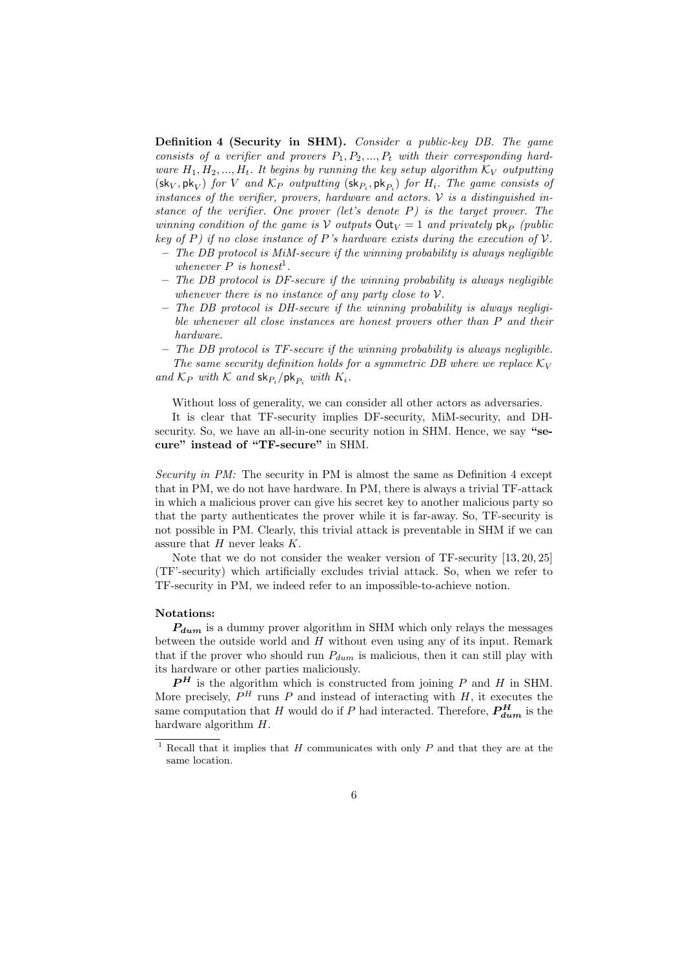Definition 4 (Security in SHM). Consider a public-key DB. The game consists of a verifier and provers  $P_1, P_2, ..., P_t$  with their corresponding hardware  $H_1, H_2, ..., H_t$ . It begins by running the key setup algorithm  $K_V$  outputting  $(\mathsf{sk}_V, \mathsf{pk}_V)$  for V and  $\mathcal{K}_P$  outputting  $(\mathsf{sk}_{P_i}, \mathsf{pk}_{P_i})$  for  $H_i$ . The game consists of instances of the verifier, provers, hardware and actors.  $\nu$  is a distinguished instance of the verifier. One prover (let's denote  $P$ ) is the target prover. The winning condition of the game is V outputs  $Out_V = 1$  and privately  $pk_P$  (public key of P) if no close instance of P's hardware exists during the execution of  $\mathcal V$ .

- $-$  The DB protocol is MiM-secure if the winning probability is always negligible whenever  $P$  is honest<sup>1</sup>.
- $-$  The DB protocol is DF-secure if the winning probability is always negligible whenever there is no instance of any party close to  $V$ .
- The DB protocol is DH-secure if the winning probability is always negligible whenever all close instances are honest provers other than P and their hardware.
- $-$  The DB protocol is TF-secure if the winning probability is always negligible.

The same security definition holds for a symmetric DB where we replace  $\mathcal{K}_V$ and  $\mathcal{K}_P$  with  $\mathcal{K}$  and  $\mathsf{sk}_{P_i}/\mathsf{pk}_{P_i}$  with  $K_i$ .

Without loss of generality, we can consider all other actors as adversaries.

It is clear that TF-security implies DF-security, MiM-security, and DHsecurity. So, we have an all-in-one security notion in SHM. Hence, we say "secure" instead of "TF-secure" in SHM.

Security in PM: The security in PM is almost the same as Definition 4 except that in PM, we do not have hardware. In PM, there is always a trivial TF-attack in which a malicious prover can give his secret key to another malicious party so that the party authenticates the prover while it is far-away. So, TF-security is not possible in PM. Clearly, this trivial attack is preventable in SHM if we can assure that  $H$  never leaks  $K$ .

Note that we do not consider the weaker version of TF-security [13, 20, 25] (TF'-security) which artificially excludes trivial attack. So, when we refer to TF-security in PM, we indeed refer to an impossible-to-achieve notion.

#### Notations:

 $P_{dum}$  is a dummy prover algorithm in SHM which only relays the messages between the outside world and  $H$  without even using any of its input. Remark that if the prover who should run  $P_{dum}$  is malicious, then it can still play with its hardware or other parties maliciously.

 $P<sup>H</sup>$  is the algorithm which is constructed from joining P and H in SHM. More precisely,  $P^H$  runs P and instead of interacting with H, it executes the same computation that H would do if P had interacted. Therefore,  $P_{dum}^H$  is the hardware algorithm H.

<sup>&</sup>lt;sup>1</sup> Recall that it implies that  $H$  communicates with only  $P$  and that they are at the same location.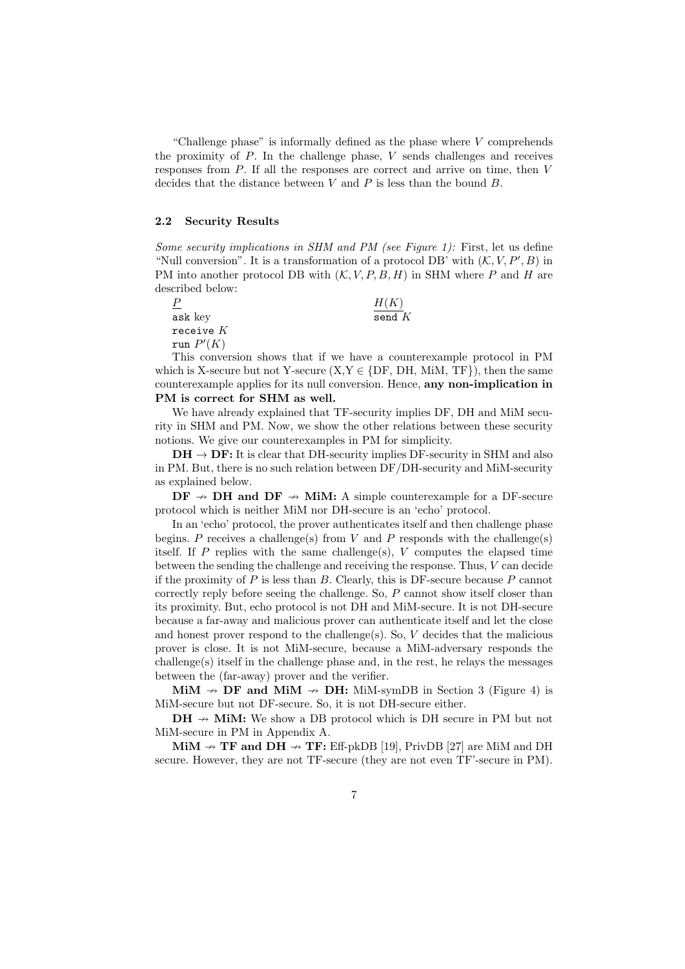"Challenge phase" is informally defined as the phase where  $V$  comprehends the proximity of  $P$ . In the challenge phase,  $V$  sends challenges and receives responses from P. If all the responses are correct and arrive on time, then V decides that the distance between  $V$  and  $P$  is less than the bound  $B$ .

#### 2.2 Security Results

Some security implications in SHM and PM (see Figure 1): First, let us define "Null conversion". It is a transformation of a protocol DB' with  $(K, V, P', B)$  in PM into another protocol DB with  $(K, V, P, B, H)$  in SHM where P and H are described below:

|             | H(K)     |
|-------------|----------|
| ask key     | send $K$ |
| receive $K$ |          |
| run $P'(K)$ |          |

This conversion shows that if we have a counterexample protocol in PM which is X-secure but not Y-secure  $(X, Y \in \{DF, DH, M \in \{F\}\})$ , then the same counterexample applies for its null conversion. Hence, any non-implication in PM is correct for SHM as well.

We have already explained that TF-security implies DF, DH and MiM security in SHM and PM. Now, we show the other relations between these security notions. We give our counterexamples in PM for simplicity.

 $\mathbf{DH} \to \mathbf{DF}$ : It is clear that DH-security implies DF-security in SHM and also in PM. But, there is no such relation between DF/DH-security and MiM-security as explained below.

 $DF \rightarrow DH$  and  $DF \rightarrow MiM$ : A simple counterexample for a DF-secure protocol which is neither MiM nor DH-secure is an 'echo' protocol.

In an 'echo' protocol, the prover authenticates itself and then challenge phase begins. P receives a challenge(s) from V and P responds with the challenge(s) itself. If P replies with the same challenge(s),  $V$  computes the elapsed time between the sending the challenge and receiving the response. Thus, V can decide if the proximity of  $P$  is less than  $B$ . Clearly, this is DF-secure because  $P$  cannot correctly reply before seeing the challenge. So, P cannot show itself closer than its proximity. But, echo protocol is not DH and MiM-secure. It is not DH-secure because a far-away and malicious prover can authenticate itself and let the close and honest prover respond to the challenge(s). So, V decides that the malicious prover is close. It is not MiM-secure, because a MiM-adversary responds the  $challenge(s)$  itself in the challenge phase and, in the rest, he relays the messages between the (far-away) prover and the verifier.

MiM  $\rightarrow$  DF and MiM  $\rightarrow$  DH: MiM-symDB in Section 3 (Figure 4) is MiM-secure but not DF-secure. So, it is not DH-secure either.

 $DH \nightharpoonup$  MiM: We show a DB protocol which is DH secure in PM but not MiM-secure in PM in Appendix A.

 $\text{MiM} \rightarrow \text{TF}$  and  $\text{DH} \rightarrow \text{TF}$ : Eff-pkDB [19], PrivDB [27] are MiM and DH secure. However, they are not TF-secure (they are not even TF'-secure in PM).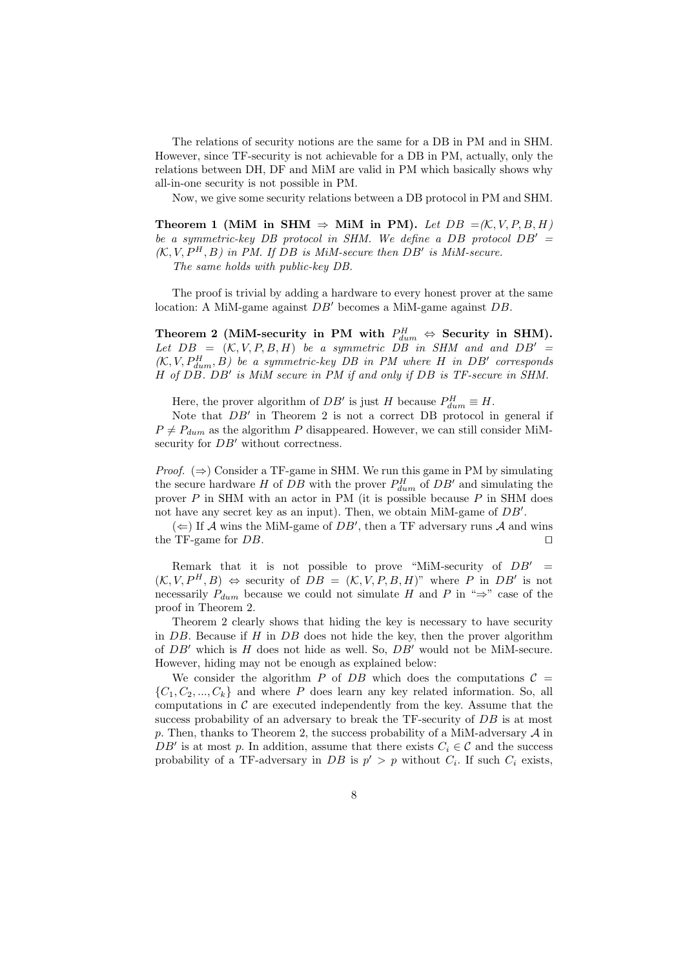The relations of security notions are the same for a DB in PM and in SHM. However, since TF-security is not achievable for a DB in PM, actually, only the relations between DH, DF and MiM are valid in PM which basically shows why all-in-one security is not possible in PM.

Now, we give some security relations between a DB protocol in PM and SHM.

Theorem 1 (MiM in SHM  $\Rightarrow$  MiM in PM). Let  $DB = (K, V, P, B, H)$ be a symmetric-key DB protocol in SHM. We define a DB protocol  $DB' =$  $(K, V, P<sup>H</sup>, B)$  in PM. If DB is MiM-secure then DB' is MiM-secure.

The same holds with public-key DB.

The proof is trivial by adding a hardware to every honest prover at the same location: A MiM-game against  $DB'$  becomes a MiM-game against  $DB$ .

Theorem 2 (MiM-security in PM with  $P_{dum}^H \Leftrightarrow$  Security in SHM). Let  $DB = (K, V, P, B, H)$  be a symmetric  $DB$  in SHM and and  $DB' =$  $(K, V, P_{dum}^H, B)$  be a symmetric-key DB in PM where H in DB' corresponds  $H$  of DB. DB' is MiM secure in PM if and only if DB is TF-secure in SHM.

Here, the prover algorithm of  $DB'$  is just H because  $P_{dum}^H \equiv H$ .

Note that  $DB'$  in Theorem 2 is not a correct DB protocol in general if  $P \neq P_{dum}$  as the algorithm P disappeared. However, we can still consider MiMsecurity for  $DB'$  without correctness.

*Proof.*  $(\Rightarrow)$  Consider a TF-game in SHM. We run this game in PM by simulating the secure hardware H of DB with the prover  $P_{dum}^H$  of DB' and simulating the prover  $P$  in SHM with an actor in PM (it is possible because  $P$  in SHM does not have any secret key as an input). Then, we obtain MiM-game of  $DB'$ .

(←) If A wins the MiM-game of  $DB'$ , then a TF adversary runs A and wins the TF-game for  $DB$ .

Remark that it is not possible to prove "MiM-security of  $DB'$  =  $(K, V, P<sup>H</sup>, B) \Leftrightarrow$  security of  $DB = (K, V, P, B, H)$ " where P in  $DB'$  is not necessarily  $P_{dum}$  because we could not simulate H and P in " $\Rightarrow$ " case of the proof in Theorem 2.

Theorem 2 clearly shows that hiding the key is necessary to have security in  $DB$ . Because if H in  $DB$  does not hide the key, then the prover algorithm of  $DB'$  which is H does not hide as well. So,  $DB'$  would not be MiM-secure. However, hiding may not be enough as explained below:

We consider the algorithm P of DB which does the computations  $C =$  $\{C_1, C_2, ..., C_k\}$  and where P does learn any key related information. So, all computations in  $\mathcal C$  are executed independently from the key. Assume that the success probability of an adversary to break the TF-security of DB is at most p. Then, thanks to Theorem 2, the success probability of a MiM-adversary  $\mathcal A$  in  $DB'$  is at most p. In addition, assume that there exists  $C_i \in \mathcal{C}$  and the success probability of a TF-adversary in  $DB$  is  $p' > p$  without  $C_i$ . If such  $C_i$  exists,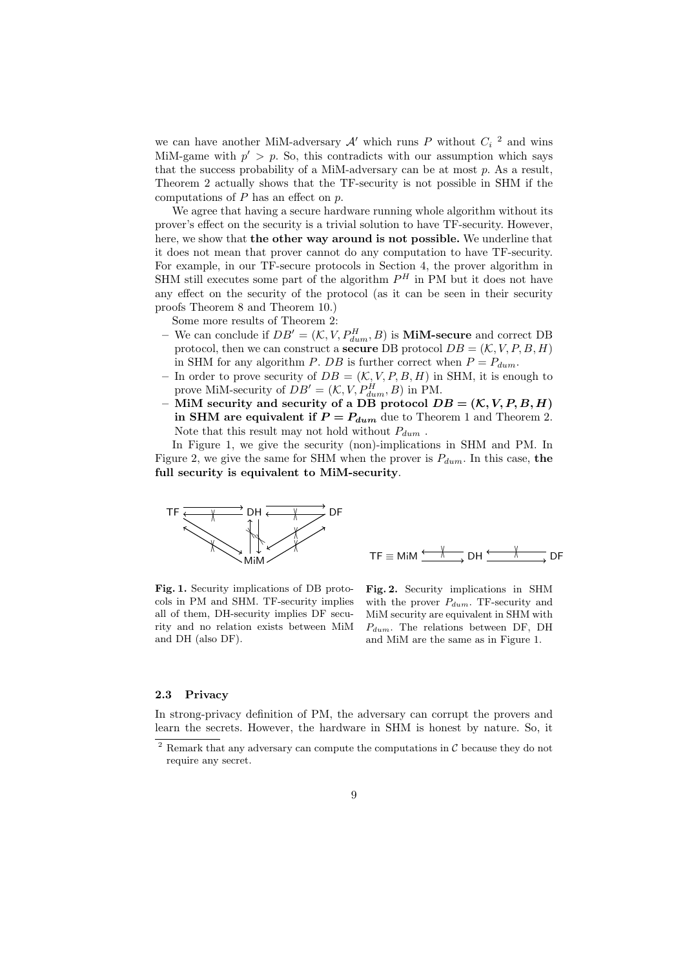we can have another MiM-adversary  $\mathcal{A}'$  which runs P without  $C_i$ <sup>2</sup> and wins MiM-game with  $p' > p$ . So, this contradicts with our assumption which says that the success probability of a MiM-adversary can be at most  $p$ . As a result, Theorem 2 actually shows that the TF-security is not possible in SHM if the computations of  $P$  has an effect on  $p$ .

We agree that having a secure hardware running whole algorithm without its prover's effect on the security is a trivial solution to have TF-security. However, here, we show that the other way around is not possible. We underline that it does not mean that prover cannot do any computation to have TF-security. For example, in our TF-secure protocols in Section 4, the prover algorithm in SHM still executes some part of the algorithm  $P^H$  in PM but it does not have any effect on the security of the protocol (as it can be seen in their security proofs Theorem 8 and Theorem 10.)

Some more results of Theorem 2:

- We can conclude if  $DB' = (\mathcal{K}, V, P_{dum}^H, B)$  is **MiM-secure** and correct DB protocol, then we can construct a **secure** DB protocol  $DB = (K, V, P, B, H)$ in SHM for any algorithm P. DB is further correct when  $P = P_{dum}$ .
- In order to prove security of  $DB = (K, V, P, B, H)$  in SHM, it is enough to prove MiM-security of  $DB' = (\mathcal{K}, V, P_{dum}^H, B)$  in PM.
- MiM security and security of a DB protocol  $DB = (K, V, P, B, H)$ in SHM are equivalent if  $P = P_{dum}$  due to Theorem 1 and Theorem 2. Note that this result may not hold without  $P_{dum}$ .

In Figure 1, we give the security (non)-implications in SHM and PM. In Figure 2, we give the same for SHM when the prover is  $P_{dum}$ . In this case, the full security is equivalent to MiM-security.





Fig. 1. Security implications of DB protocols in PM and SHM. TF-security implies all of them, DH-security implies DF security and no relation exists between MiM and DH (also DF).

Fig. 2. Security implications in SHM with the prover  $P_{dum}$ . TF-security and MiM security are equivalent in SHM with  $P_{dum}$ . The relations between DF, DH and MiM are the same as in Figure 1.

#### 2.3 Privacy

In strong-privacy definition of PM, the adversary can corrupt the provers and learn the secrets. However, the hardware in SHM is honest by nature. So, it

 $2$  Remark that any adversary can compute the computations in  $C$  because they do not require any secret.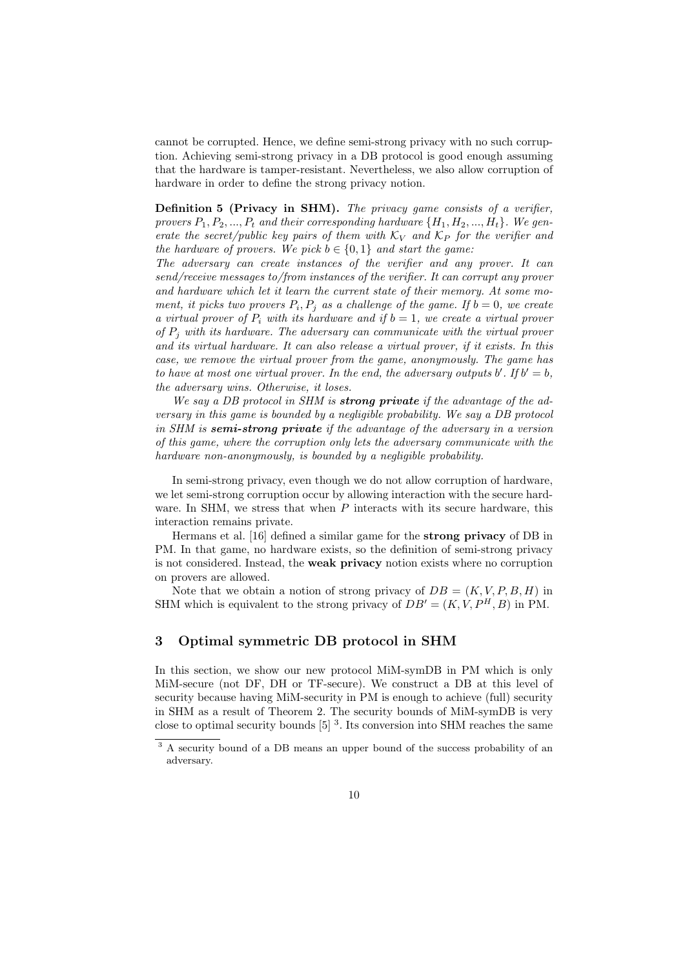cannot be corrupted. Hence, we define semi-strong privacy with no such corruption. Achieving semi-strong privacy in a DB protocol is good enough assuming that the hardware is tamper-resistant. Nevertheless, we also allow corruption of hardware in order to define the strong privacy notion.

Definition 5 (Privacy in SHM). The privacy game consists of a verifier, provers  $P_1, P_2, ..., P_t$  and their corresponding hardware  $\{H_1, H_2, ..., H_t\}$ . We generate the secret/public key pairs of them with  $K_V$  and  $K_P$  for the verifier and the hardware of provers. We pick  $b \in \{0, 1\}$  and start the game:

The adversary can create instances of the verifier and any prover. It can send/receive messages to/from instances of the verifier. It can corrupt any prover and hardware which let it learn the current state of their memory. At some moment, it picks two provers  $P_i, P_j$  as a challenge of the game. If  $b = 0$ , we create a virtual prover of  $P_i$  with its hardware and if  $b = 1$ , we create a virtual prover of  $P_i$  with its hardware. The adversary can communicate with the virtual prover and its virtual hardware. It can also release a virtual prover, if it exists. In this case, we remove the virtual prover from the game, anonymously. The game has to have at most one virtual prover. In the end, the adversary outputs  $b'$ . If  $b' = b$ , the adversary wins. Otherwise, it loses.

We say a DB protocol in SHM is **strong private** if the advantage of the adversary in this game is bounded by a negligible probability. We say a DB protocol in SHM is **semi-strong private** if the advantage of the adversary in a version of this game, where the corruption only lets the adversary communicate with the hardware non-anonymously, is bounded by a negligible probability.

In semi-strong privacy, even though we do not allow corruption of hardware, we let semi-strong corruption occur by allowing interaction with the secure hardware. In SHM, we stress that when  $P$  interacts with its secure hardware, this interaction remains private.

Hermans et al. [16] defined a similar game for the strong privacy of DB in PM. In that game, no hardware exists, so the definition of semi-strong privacy is not considered. Instead, the weak privacy notion exists where no corruption on provers are allowed.

Note that we obtain a notion of strong privacy of  $DB = (K, V, P, B, H)$  in SHM which is equivalent to the strong privacy of  $DB' = (K, V, P^H, B)$  in PM.

# 3 Optimal symmetric DB protocol in SHM

In this section, we show our new protocol MiM-symDB in PM which is only MiM-secure (not DF, DH or TF-secure). We construct a DB at this level of security because having MiM-security in PM is enough to achieve (full) security in SHM as a result of Theorem 2. The security bounds of MiM-symDB is very close to optimal security bounds  $[5]$ <sup>3</sup>. Its conversion into SHM reaches the same

<sup>&</sup>lt;sup>3</sup> A security bound of a DB means an upper bound of the success probability of an adversary.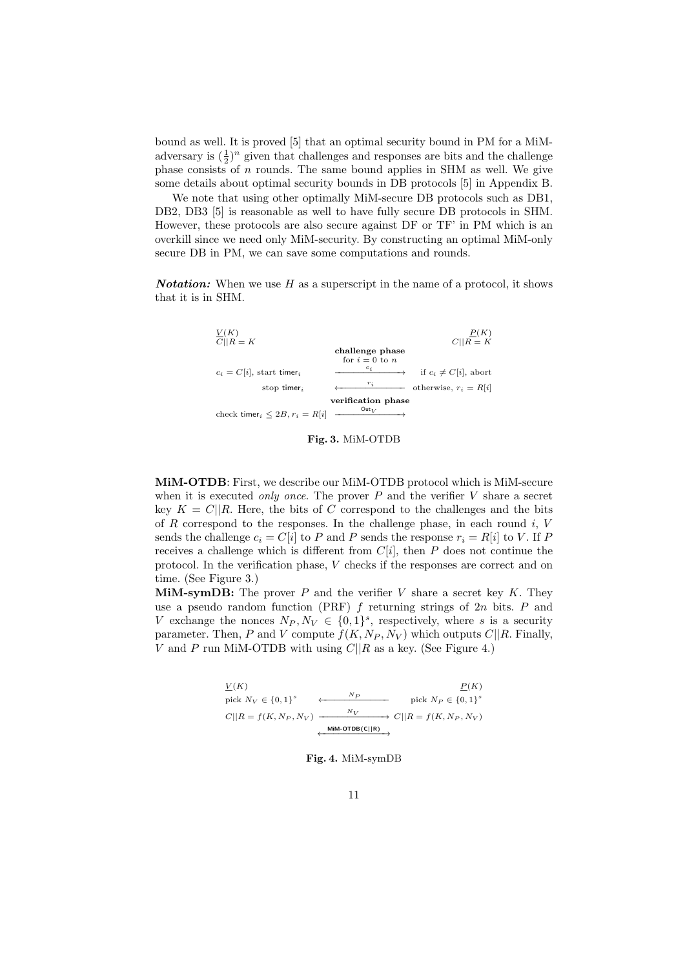bound as well. It is proved [5] that an optimal security bound in PM for a MiMadversary is  $(\frac{1}{2})^n$  given that challenges and responses are bits and the challenge phase consists of  $n$  rounds. The same bound applies in SHM as well. We give some details about optimal security bounds in DB protocols [5] in Appendix B.

We note that using other optimally MiM-secure DB protocols such as DB1, DB2, DB3 [5] is reasonable as well to have fully secure DB protocols in SHM. However, these protocols are also secure against DF or TF' in PM which is an overkill since we need only MiM-security. By constructing an optimal MiM-only secure DB in PM, we can save some computations and rounds.

**Notation:** When we use  $H$  as a superscript in the name of a protocol, it shows that it is in SHM.



Fig. 3. MiM-OTDB

MiM-OTDB: First, we describe our MiM-OTDB protocol which is MiM-secure when it is executed only once. The prover  $P$  and the verifier  $V$  share a secret key  $K = C||R$ . Here, the bits of C correspond to the challenges and the bits of R correspond to the responses. In the challenge phase, in each round i,  $V$ sends the challenge  $c_i = C[i]$  to P and P sends the response  $r_i = R[i]$  to V. If P receives a challenge which is different from  $C[i]$ , then P does not continue the protocol. In the verification phase, V checks if the responses are correct and on time. (See Figure 3.)

**MiM-symDB:** The prover  $P$  and the verifier  $V$  share a secret key  $K$ . They use a pseudo random function (PRF)  $f$  returning strings of  $2n$  bits.  $P$  and V exchange the nonces  $N_P, N_V \in \{0,1\}^s$ , respectively, where s is a security parameter. Then, P and V compute  $f(K, N_P, N_V)$  which outputs  $C||R$ . Finally, V and P run MiM-OTDB with using  $C||R$  as a key. (See Figure 4.)



Fig. 4. MiM-symDB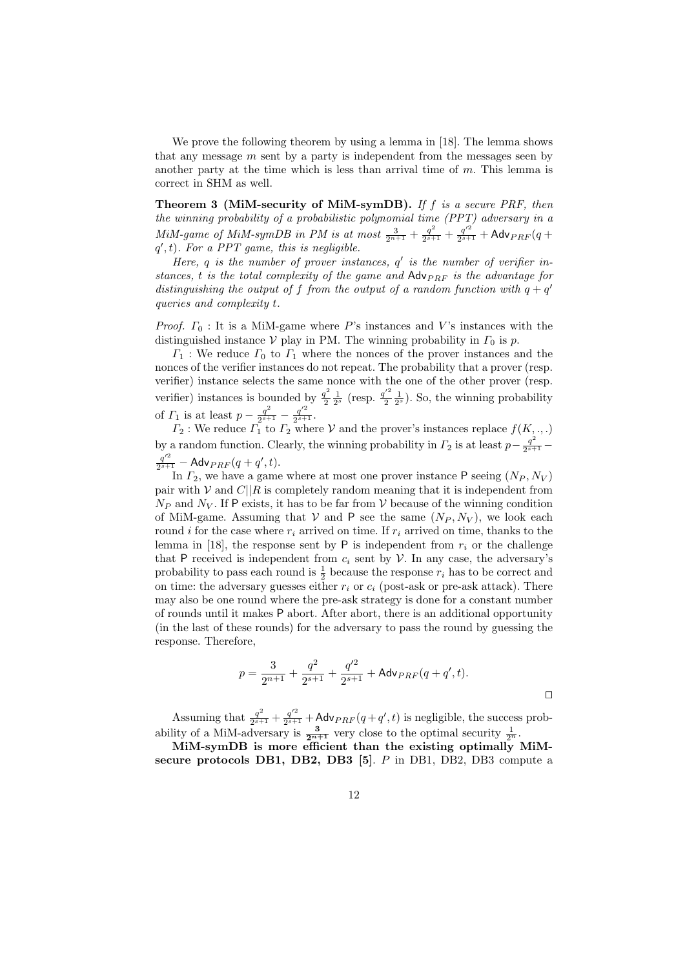We prove the following theorem by using a lemma in [18]. The lemma shows that any message  $m$  sent by a party is independent from the messages seen by another party at the time which is less than arrival time of  $m$ . This lemma is correct in SHM as well.

Theorem 3 (MiM-security of MiM-symDB). If f is a secure PRF, then the winning probability of a probabilistic polynomial time (PPT) adversary in a MiM-game of MiM-symDB in PM is at most  $\frac{3}{2^{n+1}} + \frac{q^2}{2^{s+1}}$  $\frac{q^2}{2^{s+1}}+\frac{q'^2}{2^{s+1}}$  $\frac{q}{2^{s+1}} + \mathsf{Adv}_{PRF}(q +$  $q', t$ ). For a PPT game, this is negligible.

Here, q is the number of prover instances,  $q'$  is the number of verifier instances, t is the total complexity of the game and  $\text{Adv}_{PRE}$  is the advantage for distinguishing the output of f from the output of a random function with  $q + q'$ queries and complexity t.

*Proof.*  $\Gamma_0$ : It is a MiM-game where P's instances and V's instances with the distinguished instance  $V$  play in PM. The winning probability in  $\Gamma_0$  is p.

 $\Gamma_1$ : We reduce  $\Gamma_0$  to  $\Gamma_1$  where the nonces of the prover instances and the nonces of the verifier instances do not repeat. The probability that a prover (resp. verifier) instance selects the same nonce with the one of the other prover (resp. verifier) instances is bounded by  $\frac{q^2}{2}$  $\frac{q^2}{2} \frac{1}{2^s}$  (resp.  $\frac{q'^2}{2}$  $\frac{1}{2}$  $\frac{1}{2}$  $\frac{1}{2}$ . So, the winning probability of  $\Gamma_1$  is at least  $p - \frac{q^2}{2^{s+1}}$  $\frac{q^2}{2^{s+1}} - \frac{q'^2}{2^{s+1}}$  $rac{q}{2^{s+1}}$ .

 $\Gamma_2$ : We reduce  $\Gamma_1$  to  $\Gamma_2$  where  $V$  and the prover's instances replace  $f(K, \ldots)$ by a random function. Clearly, the winning probability in  $\Gamma_2$  is at least  $p - \frac{q^2}{2^{s+1}}$  $q'^2$  $\frac{q}{2^{s+1}}$  – Adv $_{PRF}(q+q',t)$ .

In  $\Gamma_2$ , we have a game where at most one prover instance P seeing  $(N_P, N_V)$ pair with  $V$  and  $C||R$  is completely random meaning that it is independent from  $N_P$  and  $N_V$ . If P exists, it has to be far from V because of the winning condition of MiM-game. Assuming that V and P see the same  $(N_P, N_V)$ , we look each round *i* for the case where  $r_i$  arrived on time. If  $r_i$  arrived on time, thanks to the lemma in [18], the response sent by P is independent from  $r_i$  or the challenge that P received is independent from  $c_i$  sent by  $\mathcal V$ . In any case, the adversary's probability to pass each round is  $\frac{1}{2}$  because the response  $r_i$  has to be correct and on time: the adversary guesses either  $r_i$  or  $c_i$  (post-ask or pre-ask attack). There may also be one round where the pre-ask strategy is done for a constant number of rounds until it makes P abort. After abort, there is an additional opportunity (in the last of these rounds) for the adversary to pass the round by guessing the response. Therefore,

$$
p = \frac{3}{2^{n+1}} + \frac{q^2}{2^{s+1}} + \frac{q'^2}{2^{s+1}} + \text{Adv}_{PRF}(q+q',t).
$$

Assuming that  $\frac{q^2}{2^{s+1}}$  $\frac{q^2}{2^{s+1}} + \frac{q'^2}{2^{s+1}}$  $\frac{q}{2^{s+1}} + \mathsf{Adv}_{PRF}(q+q',t)$  is negligible, the success probability of a MiM-adversary is  $\frac{3}{2^{n+1}}$  very close to the optimal security  $\frac{1}{2^n}$ .

MiM-symDB is more efficient than the existing optimally MiMsecure protocols DB1, DB2, DB3 [5]. P in DB1, DB2, DB3 compute a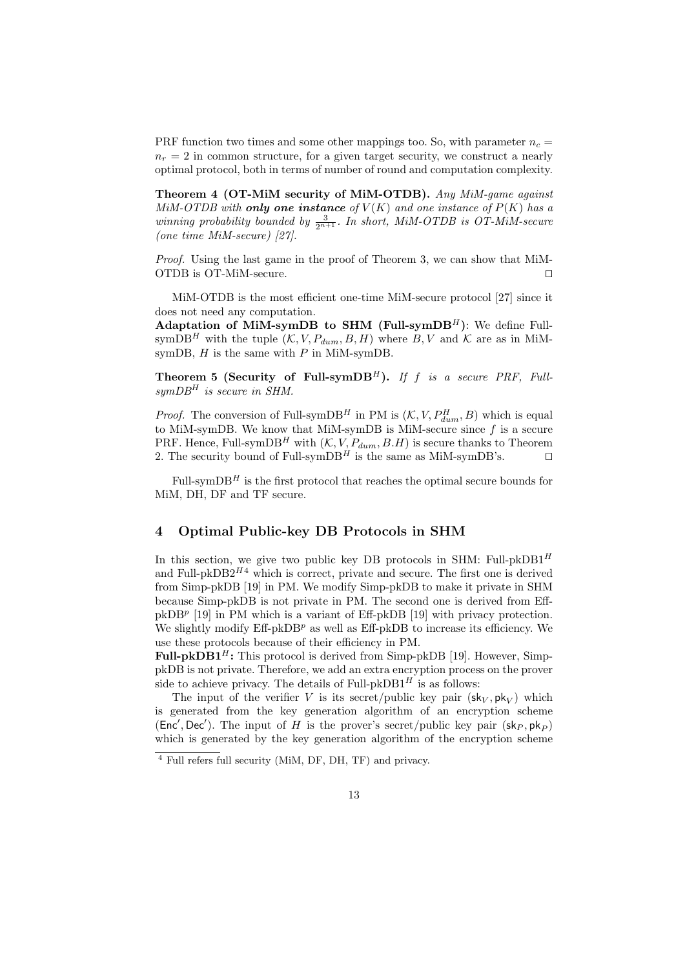PRF function two times and some other mappings too. So, with parameter  $n_c =$  $n_r = 2$  in common structure, for a given target security, we construct a nearly optimal protocol, both in terms of number of round and computation complexity.

Theorem 4 (OT-MiM security of MiM-OTDB). Any MiM-game against MiM-OTDB with only one instance of  $V(K)$  and one instance of  $P(K)$  has a winning probability bounded by  $\frac{3}{2^{n+1}}$ . In short, MiM-OTDB is OT-MiM-secure (one time MiM-secure) [27].

Proof. Using the last game in the proof of Theorem 3, we can show that MiM-OTDB is OT-MiM-secure.

MiM-OTDB is the most efficient one-time MiM-secure protocol [27] since it does not need any computation.

Adaptation of MiM-symDB to SHM (Full-symDB<sup>H</sup>): We define Fullsym $DB^H$  with the tuple  $(K, V, P_{dum}, B, H)$  where  $B, V$  and K are as in MiMsymDB,  $H$  is the same with  $P$  in MiM-symDB.

Theorem 5 (Security of Full-symDB<sup>H</sup>). If f is a secure PRF, Full $sumDB<sup>H</sup>$  is secure in SHM.

*Proof.* The conversion of Full-sym $DB^H$  in PM is  $(\mathcal{K}, V, P_{dum}^H, B)$  which is equal to MiM-symDB. We know that MiM-symDB is MiM-secure since  $f$  is a secure PRF. Hence, Full-symDB<sup>H</sup> with  $(K, V, P_{dum}, B.H)$  is secure thanks to Theorem 2. The security bound of Full-symDB<sup>H</sup> is the same as MiM-symDB's. 2. The security bound of Full-sym $DB^H$  is the same as MiM-sym $DB$ 's.

Full-sym $DB<sup>H</sup>$  is the first protocol that reaches the optimal secure bounds for MiM, DH, DF and TF secure.

# 4 Optimal Public-key DB Protocols in SHM

In this section, we give two public key DB protocols in SHM: Full-pkDB1 $^H$ and Full-pkDB2 $^{H4}$  which is correct, private and secure. The first one is derived from Simp-pkDB [19] in PM. We modify Simp-pkDB to make it private in SHM because Simp-pkDB is not private in PM. The second one is derived from Eff $pkDB<sup>p</sup>$  [19] in PM which is a variant of Eff-pkDB [19] with privacy protection. We slightly modify  $Eff-pkDB^p$  as well as  $Eff-pkDB$  to increase its efficiency. We use these protocols because of their efficiency in PM.

**Full-pkDB1<sup>H</sup>:** This protocol is derived from Simp-pkDB [19]. However, SimppkDB is not private. Therefore, we add an extra encryption process on the prover side to achieve privacy. The details of Full-pkDB1 $^H$  is as follows:

The input of the verifier V is its secret/public key pair  $(\mathsf{sk}_V, \mathsf{pk}_V)$  which is generated from the key generation algorithm of an encryption scheme (Enc', Dec'). The input of H is the prover's secret/public key pair  $(\text{sk}_P, \text{pk}_P)$ which is generated by the key generation algorithm of the encryption scheme

<sup>4</sup> Full refers full security (MiM, DF, DH, TF) and privacy.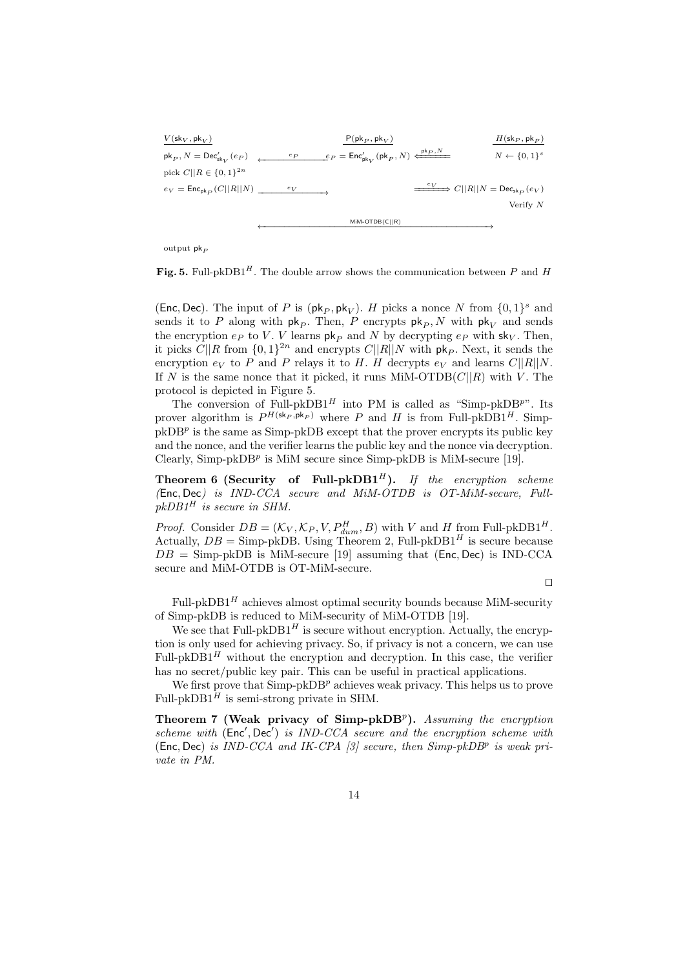

output  $pk_E$ 

Fig. 5. Full-pkDB1<sup>H</sup>. The double arrow shows the communication between P and H

(Enc, Dec). The input of P is  $(\mathsf{pk}_P, \mathsf{pk}_V)$ . H picks a nonce N from  $\{0,1\}^s$  and sends it to P along with  $pk_{p}$ . Then, P encrypts  $pk_{p}$ , N with  $pk_{V}$  and sends the encryption  $e_P$  to V. V learns  $\mathsf{pk}_P$  and N by decrypting  $e_P$  with  $\mathsf{sk}_V$ . Then, it picks  $C||R$  from  $\{0,1\}^{2n}$  and encrypts  $C||R||N$  with  $\mathsf{pk}_P$ . Next, it sends the encryption  $e_V$  to P and P relays it to H. H decrypts  $e_V$  and learns  $C||R||N$ . If N is the same nonce that it picked, it runs  $M \text{i} M \text{-OTDB}(C||R)$  with V. The protocol is depicted in Figure 5.

The conversion of  $Full-pkDB1<sup>H</sup>$  into PM is called as "Simp-pkDB<sup>p"</sup>. Its prover algorithm is  $P^{H(\text{sk}_P, \text{pk}_P)}$  where P and H is from Full-pkDB1<sup>H</sup>. Simp $pkDB<sup>p</sup>$  is the same as Simp-pkDB except that the prover encrypts its public key and the nonce, and the verifier learns the public key and the nonce via decryption. Clearly, Simp-pkDB<sup>p</sup> is MiM secure since Simp-pkDB is MiM-secure [19].

**Theorem 6 (Security of Full-pkDB1**<sup>H</sup>). If the encryption scheme (Enc, Dec) is IND-CCA secure and MiM-OTDB is OT-MiM-secure, Full $pkDB1<sup>H</sup>$  is secure in SHM.

*Proof.* Consider  $DB = (\mathcal{K}_V, \mathcal{K}_P, V, P_{dum}^H, B)$  with V and H from Full-pkDB1<sup>H</sup>. Actually,  $DB = \text{Simp-pkDB}$ . Using Theorem 2, Full-pkDB1<sup>H</sup> is secure because  $DB =$  Simp-pkDB is MiM-secure [19] assuming that (Enc, Dec) is IND-CCA secure and MiM-OTDB is OT-MiM-secure.

 $\Box$ 

Full-pkDB1 $^H$  achieves almost optimal security bounds because MiM-security of Simp-pkDB is reduced to MiM-security of MiM-OTDB [19].

We see that Full-pkDB1<sup>H</sup> is secure without encryption. Actually, the encryption is only used for achieving privacy. So, if privacy is not a concern, we can use Full-pkDB1<sup>H</sup> without the encryption and decryption. In this case, the verifier has no secret/public key pair. This can be useful in practical applications.

We first prove that  $Simp-pkDB^p$  achieves weak privacy. This helps us to prove Full-pkDB1 $^H$  is semi-strong private in SHM.

Theorem 7 (Weak privacy of Simp-pkDB<sup>p</sup>). Assuming the encryption scheme with  $(Enc', Dec')$  is IND-CCA secure and the encryption scheme with (Enc, Dec) is IND-CCA and IK-CPA  $[3]$  secure, then Simp-pkDB<sup>p</sup> is weak private in PM.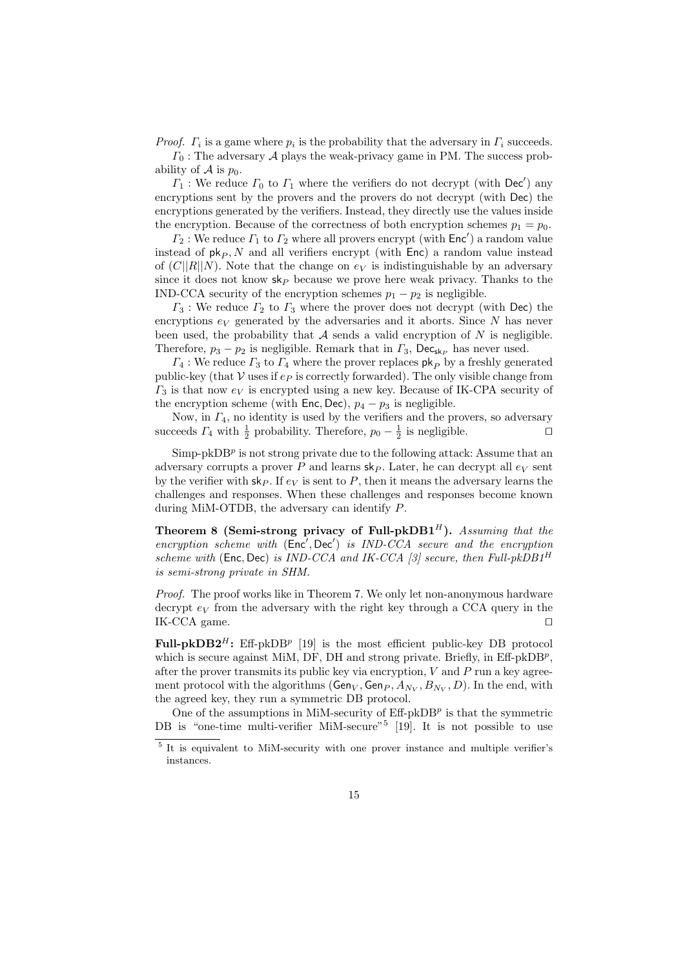*Proof.*  $\Gamma_i$  is a game where  $p_i$  is the probability that the adversary in  $\Gamma_i$  succeeds.  $\Gamma_0$ : The adversary A plays the weak-privacy game in PM. The success probability of  $A$  is  $p_0$ .

 $\Gamma_1$ : We reduce  $\Gamma_0$  to  $\Gamma_1$  where the verifiers do not decrypt (with Dec') any encryptions sent by the provers and the provers do not decrypt (with Dec) the encryptions generated by the verifiers. Instead, they directly use the values inside the encryption. Because of the correctness of both encryption schemes  $p_1 = p_0$ .

 $\Gamma_2$ : We reduce  $\Gamma_1$  to  $\Gamma_2$  where all provers encrypt (with  $\mathsf{Enc}'$ ) a random value instead of  $pk_{P}$ , N and all verifiers encrypt (with Enc) a random value instead of  $(C||R||N)$ . Note that the change on  $e<sub>V</sub>$  is indistinguishable by an adversary since it does not know  $s_{\text{P}}$  because we prove here weak privacy. Thanks to the IND-CCA security of the encryption schemes  $p_1 - p_2$  is negligible.

 $\Gamma_3$ : We reduce  $\Gamma_2$  to  $\Gamma_3$  where the prover does not decrypt (with Dec) the encryptions  $e_V$  generated by the adversaries and it aborts. Since  $N$  has never been used, the probability that  $A$  sends a valid encryption of  $N$  is negligible. Therefore,  $p_3 - p_2$  is negligible. Remark that in  $\Gamma_3$ , Dec<sub>skp</sub> has never used.

 $\Gamma_4$ : We reduce  $\Gamma_3$  to  $\Gamma_4$  where the prover replaces  $\mathsf{pk}_P$  by a freshly generated public-key (that  $V$  uses if  $e_P$  is correctly forwarded). The only visible change from  $\Gamma_3$  is that now  $e_V$  is encrypted using a new key. Because of IK-CPA security of the encryption scheme (with  $Enc, Dec$ ),  $p_4 - p_3$  is negligible.

Now, in  $\Gamma_4$ , no identity is used by the verifiers and the provers, so adversary succeeds  $\Gamma_4$  with  $\frac{1}{2}$  probability. Therefore,  $p_0 - \frac{1}{2}$  is negligible.

 $Simp-pkDB<sup>p</sup>$  is not strong private due to the following attack: Assume that an adversary corrupts a prover P and learns  $\mathsf{sk}_P$ . Later, he can decrypt all  $e_V$  sent by the verifier with  $\mathsf{sk}_P$ . If  $e_V$  is sent to P, then it means the adversary learns the challenges and responses. When these challenges and responses become known during MiM-OTDB, the adversary can identify P.

Theorem 8 (Semi-strong privacy of Full-pkDB1 $^H$ ). Assuming that the encryption scheme with  $(Enc', Dec')$  is IND-CCA secure and the encryption scheme with (Enc, Dec) is IND-CCA and IK-CCA [3] secure, then Full-pkDB1<sup>H</sup> is semi-strong private in SHM.

Proof. The proof works like in Theorem 7. We only let non-anonymous hardware decrypt  $e_V$  from the adversary with the right key through a CCA query in the IK-CCA game.  $\square$ 

Full-pkDB2<sup>H</sup>: Eff-pkDB<sup>p</sup> [19] is the most efficient public-key DB protocol which is secure against MiM, DF, DH and strong private. Briefly, in  $Eff$ -pkDB<sup>p</sup>, after the prover transmits its public key via encryption,  $V$  and  $P$  run a key agreement protocol with the algorithms  $(\mathsf{Gen}_V, \mathsf{Gen}_P, A_{N_V}, B_{N_V}, D)$ . In the end, with the agreed key, they run a symmetric DB protocol.

One of the assumptions in MiM-security of  $Eff-pkDB^p$  is that the symmetric DB is "one-time multi-verifier MiM-secure"<sup>5</sup> [19]. It is not possible to use

<sup>&</sup>lt;sup>5</sup> It is equivalent to MiM-security with one prover instance and multiple verifier's instances.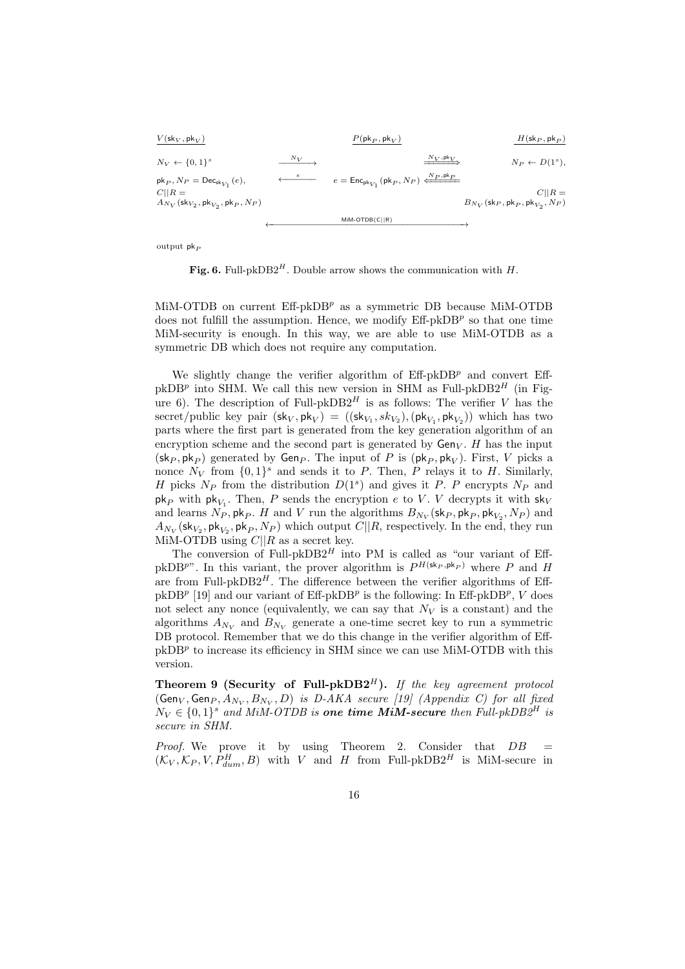

output  $pk_P$ 

Fig. 6. Full-pkDB2<sup>H</sup>. Double arrow shows the communication with H.

 $MiM-OTDB$  on current  $Eff-pkDB^p$  as a symmetric DB because MiM-OTDB does not fulfill the assumption. Hence, we modify  $Eff-pkDB^p$  so that one time MiM-security is enough. In this way, we are able to use MiM-OTDB as a symmetric DB which does not require any computation.

We slightly change the verifier algorithm of  $Eff-pkDB^p$  and convert Eff $pkDB<sup>p</sup>$  into SHM. We call this new version in SHM as Full-pkDB2<sup>H</sup> (in Figure 6). The description of Full-pkDB2<sup>H</sup> is as follows: The verifier V has the secret/public key pair  $(\textsf{sk}_V, \textsf{pk}_V) = ((\textsf{sk}_{V_1}, sk_{V_2}), (\textsf{pk}_{V_1}, \textsf{pk}_{V_2}))$  which has two parts where the first part is generated from the key generation algorithm of an encryption scheme and the second part is generated by  $Gen_V$ . H has the input  $({\sf sk}_P, {\sf pk}_P)$  generated by  ${\sf Gen}_P$ . The input of P is  $({\sf pk}_P, {\sf pk}_V)$ . First, V picks a nonce  $N_V$  from  $\{0,1\}^s$  and sends it to P. Then, P relays it to H. Similarly, H picks  $N_P$  from the distribution  $D(1<sup>s</sup>)$  and gives it P. P encrypts  $N_P$  and  $\mathsf{pk}_P$  with  $\mathsf{pk}_{V_1}$ . Then, P sends the encryption e to V. V decrypts it with  $\mathsf{sk}_V$ and learns  $N_P$ ,  $\mathsf{pk}_P$ . H and V run the algorithms  $B_{N_V}(\mathsf{sk}_P, \mathsf{pk}_P, \mathsf{pk}_{V_2}, N_P)$  and  $A_{N_V}(\mathsf{sk}_{V_2}, \mathsf{pk}_{V_2}, \mathsf{pk}_P, N_P)$  which output  $C||R$ , respectively. In the end, they run MiM-OTDB using  $C||R$  as a secret key.

The conversion of Full-pkDB2<sup>H</sup> into PM is called as "our variant of EffpkDB<sup>p"</sup>. In this variant, the prover algorithm is  $P^{H(\mathsf{sk}_P, \mathsf{pk}_P)}$  where P and H are from Full-pkDB2<sup>H</sup>. The difference between the verifier algorithms of EffpkDB<sup>p</sup> [19] and our variant of Eff-pkDB<sup>p</sup> is the following: In Eff-pkDB<sup>p</sup>, V does not select any nonce (equivalently, we can say that  $N_V$  is a constant) and the algorithms  $A_{N_V}$  and  $B_{N_V}$  generate a one-time secret key to run a symmetric DB protocol. Remember that we do this change in the verifier algorithm of Eff $pkDB<sup>p</sup>$  to increase its efficiency in SHM since we can use MiM-OTDB with this version.

Theorem 9 (Security of Full-pkDB $2^H$ ). If the key agreement protocol  $(\mathsf{Gen}_V, \mathsf{Gen}_P, A_{N_V}, B_{N_V}, D)$  is D-AKA secure [19] (Appendix C) for all fixed  $N_V \in \{0,1\}^s$  and MiM-OTDB is **one time MiM-secure** then Full-pkDB2<sup>H</sup> is secure in SHM.

Proof. We prove it by using Theorem 2. Consider that  $DB =$  $(\mathcal{K}_V, \mathcal{K}_P, V, P_{dum}^H, B)$  with V and H from Full-pkDB2<sup>H</sup> is MiM-secure in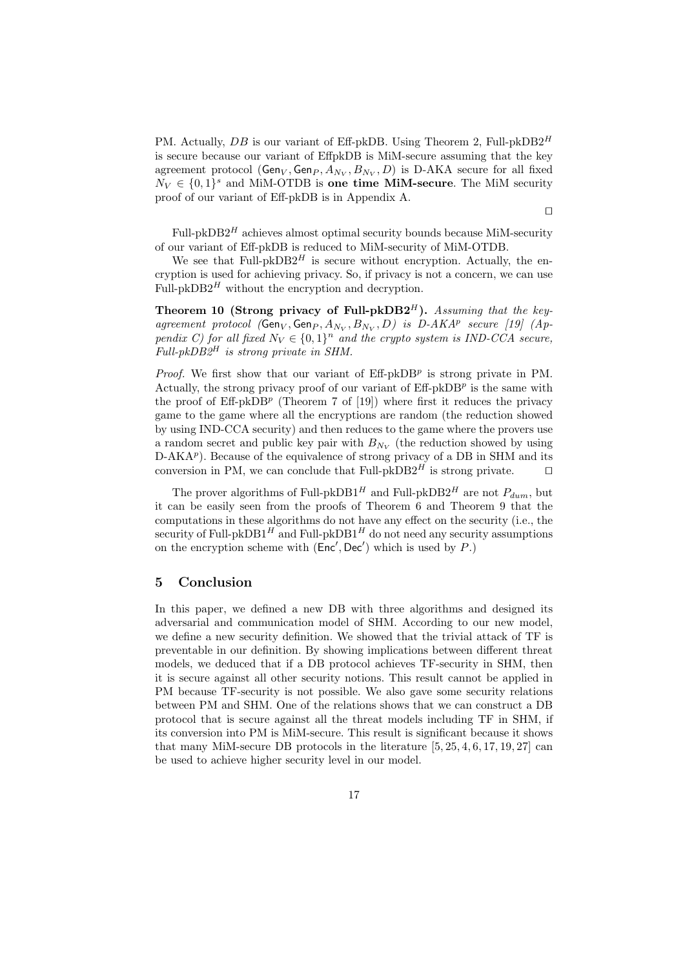PM. Actually, DB is our variant of Eff-pkDB. Using Theorem 2, Full-pkDB2<sup>H</sup> is secure because our variant of EffpkDB is MiM-secure assuming that the key agreement protocol ( ${\sf Gen}_V, {\sf Gen}_P, A_{N_V}, B_{N_V}, D$ ) is D-AKA secure for all fixed  $N_V \in \{0,1\}^s$  and MiM-OTDB is one time MiM-secure. The MiM security proof of our variant of Eff-pkDB is in Appendix A.

 $\Box$ 

Full-pkDB $2<sup>H</sup>$  achieves almost optimal security bounds because MiM-security of our variant of Eff-pkDB is reduced to MiM-security of MiM-OTDB.

We see that Full-pkDB2<sup>H</sup> is secure without encryption. Actually, the encryption is used for achieving privacy. So, if privacy is not a concern, we can use Full-pkDB2<sup>H</sup> without the encryption and decryption.

Theorem 10 (Strong privacy of Full-pkDB2<sup>H</sup>). Assuming that the keyagreement protocol ( $Gen_V, Gen_P, A_{N_V}, B_{N_V}, D$ ) is  $D-AKA^p$  secure [19] (Appendix C) for all fixed  $N_V \in \{0,1\}^n$  and the crypto system is IND-CCA secure,  $Full-pkDB2<sup>H</sup>$  is strong private in SHM.

*Proof.* We first show that our variant of  $Eff-pkDB^p$  is strong private in PM. Actually, the strong privacy proof of our variant of  $Eff-pkDB^p$  is the same with the proof of  $Eff-pkDB^p$  (Theorem 7 of [19]) where first it reduces the privacy game to the game where all the encryptions are random (the reduction showed by using IND-CCA security) and then reduces to the game where the provers use a random secret and public key pair with  $B_{N_V}$  (the reduction showed by using  $D-AKA<sup>p</sup>$ ). Because of the equivalence of strong privacy of a DB in SHM and its conversion in PM, we can conclude that Full-pkDB2<sup>H</sup> is strong private.  $\square$ 

The prover algorithms of Full-pkDB1<sup>H</sup> and Full-pkDB2<sup>H</sup> are not  $P_{dum}$ , but it can be easily seen from the proofs of Theorem 6 and Theorem 9 that the computations in these algorithms do not have any effect on the security (i.e., the security of Full-pkDB1<sup>H</sup> and Full-pkDB1<sup>H</sup> do not need any security assumptions on the encryption scheme with  $(Enc', Dec')$  which is used by  $P$ .)

## 5 Conclusion

In this paper, we defined a new DB with three algorithms and designed its adversarial and communication model of SHM. According to our new model, we define a new security definition. We showed that the trivial attack of TF is preventable in our definition. By showing implications between different threat models, we deduced that if a DB protocol achieves TF-security in SHM, then it is secure against all other security notions. This result cannot be applied in PM because TF-security is not possible. We also gave some security relations between PM and SHM. One of the relations shows that we can construct a DB protocol that is secure against all the threat models including TF in SHM, if its conversion into PM is MiM-secure. This result is significant because it shows that many MiM-secure DB protocols in the literature  $[5, 25, 4, 6, 17, 19, 27]$  can be used to achieve higher security level in our model.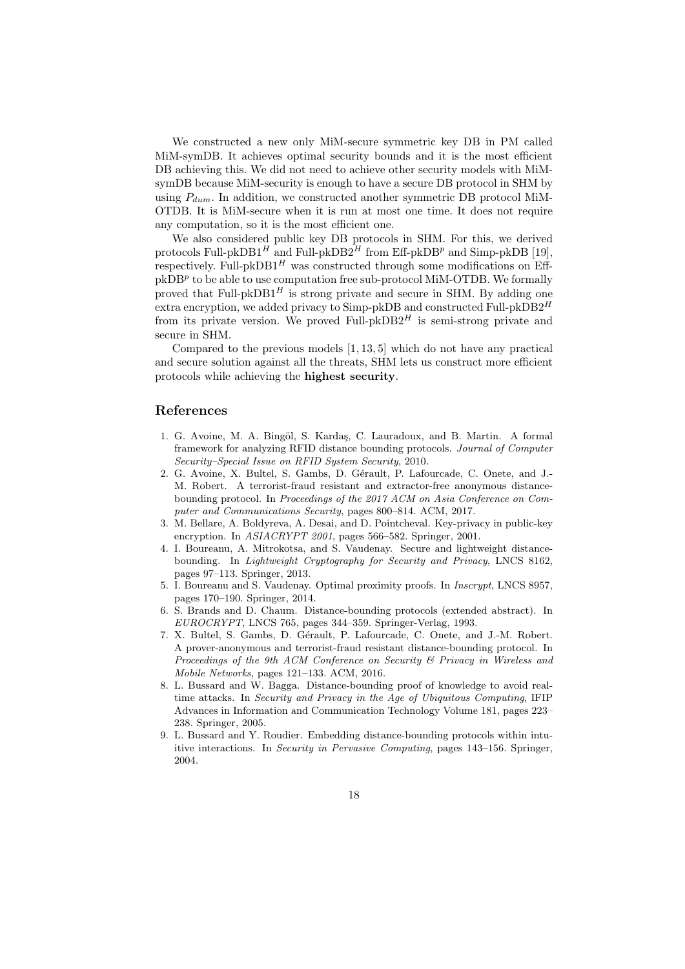We constructed a new only MiM-secure symmetric key DB in PM called MiM-symDB. It achieves optimal security bounds and it is the most efficient DB achieving this. We did not need to achieve other security models with MiMsymDB because MiM-security is enough to have a secure DB protocol in SHM by using  $P_{dum}$ . In addition, we constructed another symmetric DB protocol MiM-OTDB. It is MiM-secure when it is run at most one time. It does not require any computation, so it is the most efficient one.

We also considered public key DB protocols in SHM. For this, we derived protocols Full-pkDB1  $^H$  and Full-pkDB2  $^H$  from Eff-pkDB  $^p$  and Simp-pkDB [19], respectively. Full-pkDB1 $^H$  was constructed through some modifications on Eff $pkDB<sup>p</sup>$  to be able to use computation free sub-protocol MiM-OTDB. We formally proved that Full-pkDB1 $^H$  is strong private and secure in SHM. By adding one extra encryption, we added privacy to Simp-pkDB and constructed Full-pkDB $2^H$ from its private version. We proved Full-pkDB2<sup>H</sup> is semi-strong private and secure in SHM.

Compared to the previous models [1, 13, 5] which do not have any practical and secure solution against all the threats, SHM lets us construct more efficient protocols while achieving the highest security.

#### References

- 1. G. Avoine, M. A. Bingöl, S. Kardas, C. Lauradoux, and B. Martin. A formal framework for analyzing RFID distance bounding protocols. Journal of Computer Security–Special Issue on RFID System Security, 2010.
- 2. G. Avoine, X. Bultel, S. Gambs, D. Gérault, P. Lafourcade, C. Onete, and J.-M. Robert. A terrorist-fraud resistant and extractor-free anonymous distancebounding protocol. In Proceedings of the 2017 ACM on Asia Conference on Computer and Communications Security, pages 800–814. ACM, 2017.
- 3. M. Bellare, A. Boldyreva, A. Desai, and D. Pointcheval. Key-privacy in public-key encryption. In *ASIACRYPT 2001*, pages 566–582. Springer, 2001.
- 4. I. Boureanu, A. Mitrokotsa, and S. Vaudenay. Secure and lightweight distancebounding. In Lightweight Cryptography for Security and Privacy, LNCS 8162, pages 97–113. Springer, 2013.
- 5. I. Boureanu and S. Vaudenay. Optimal proximity proofs. In Inscrypt, LNCS 8957, pages 170–190. Springer, 2014.
- 6. S. Brands and D. Chaum. Distance-bounding protocols (extended abstract). In EUROCRYPT, LNCS 765, pages 344–359. Springer-Verlag, 1993.
- 7. X. Bultel, S. Gambs, D. Gérault, P. Lafourcade, C. Onete, and J.-M. Robert. A prover-anonymous and terrorist-fraud resistant distance-bounding protocol. In Proceedings of the 9th ACM Conference on Security & Privacy in Wireless and Mobile Networks, pages 121–133. ACM, 2016.
- 8. L. Bussard and W. Bagga. Distance-bounding proof of knowledge to avoid realtime attacks. In Security and Privacy in the Age of Ubiquitous Computing, IFIP Advances in Information and Communication Technology Volume 181, pages 223– 238. Springer, 2005.
- 9. L. Bussard and Y. Roudier. Embedding distance-bounding protocols within intuitive interactions. In Security in Pervasive Computing, pages 143–156. Springer, 2004.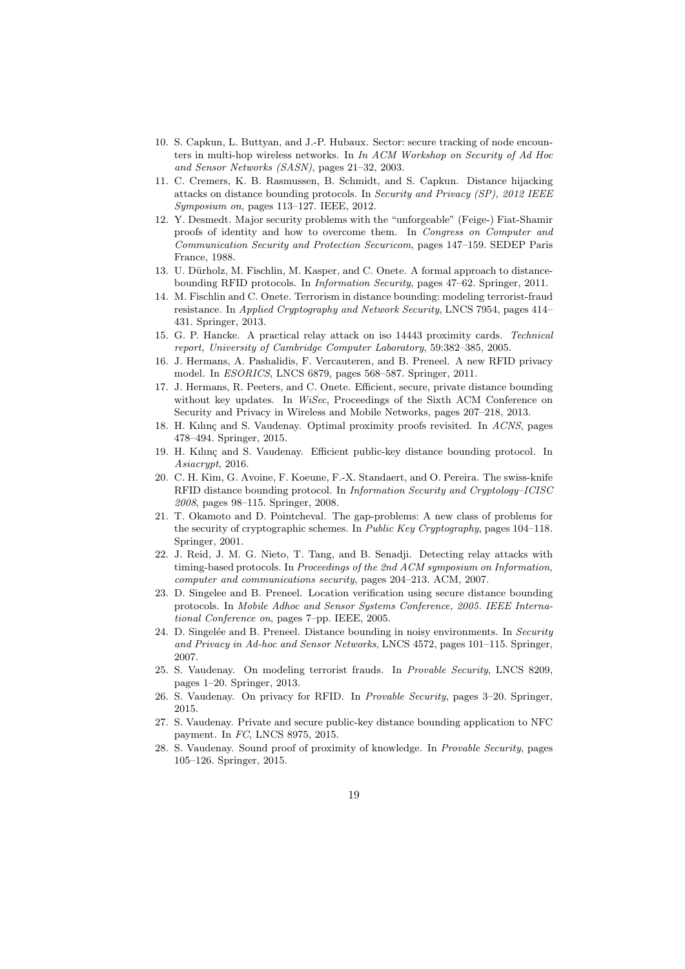- 10. S. Capkun, L. Buttyan, and J.-P. Hubaux. Sector: secure tracking of node encounters in multi-hop wireless networks. In In ACM Workshop on Security of Ad Hoc and Sensor Networks (SASN), pages 21–32, 2003.
- 11. C. Cremers, K. B. Rasmussen, B. Schmidt, and S. Capkun. Distance hijacking attacks on distance bounding protocols. In Security and Privacy (SP), 2012 IEEE Symposium on, pages 113–127. IEEE, 2012.
- 12. Y. Desmedt. Major security problems with the "unforgeable" (Feige-) Fiat-Shamir proofs of identity and how to overcome them. In Congress on Computer and Communication Security and Protection Securicom, pages 147–159. SEDEP Paris France, 1988.
- 13. U. Dürholz, M. Fischlin, M. Kasper, and C. Onete. A formal approach to distancebounding RFID protocols. In Information Security, pages 47–62. Springer, 2011.
- 14. M. Fischlin and C. Onete. Terrorism in distance bounding: modeling terrorist-fraud resistance. In Applied Cryptography and Network Security, LNCS 7954, pages 414– 431. Springer, 2013.
- 15. G. P. Hancke. A practical relay attack on iso 14443 proximity cards. Technical report, University of Cambridge Computer Laboratory, 59:382–385, 2005.
- 16. J. Hermans, A. Pashalidis, F. Vercauteren, and B. Preneel. A new RFID privacy model. In ESORICS, LNCS 6879, pages 568–587. Springer, 2011.
- 17. J. Hermans, R. Peeters, and C. Onete. Efficient, secure, private distance bounding without key updates. In WiSec, Proceedings of the Sixth ACM Conference on Security and Privacy in Wireless and Mobile Networks, pages 207–218, 2013.
- 18. H. Kılınç and S. Vaudenay. Optimal proximity proofs revisited. In ACNS, pages 478–494. Springer, 2015.
- 19. H. Kılınç and S. Vaudenay. Efficient public-key distance bounding protocol. In Asiacrypt, 2016.
- 20. C. H. Kim, G. Avoine, F. Koeune, F.-X. Standaert, and O. Pereira. The swiss-knife RFID distance bounding protocol. In Information Security and Cryptology–ICISC 2008, pages 98–115. Springer, 2008.
- 21. T. Okamoto and D. Pointcheval. The gap-problems: A new class of problems for the security of cryptographic schemes. In Public Key Cryptography, pages 104–118. Springer, 2001.
- 22. J. Reid, J. M. G. Nieto, T. Tang, and B. Senadji. Detecting relay attacks with timing-based protocols. In Proceedings of the 2nd ACM symposium on Information, computer and communications security, pages 204–213. ACM, 2007.
- 23. D. Singelee and B. Preneel. Location verification using secure distance bounding protocols. In Mobile Adhoc and Sensor Systems Conference, 2005. IEEE International Conference on, pages 7–pp. IEEE, 2005.
- 24. D. Singelée and B. Preneel. Distance bounding in noisy environments. In Security and Privacy in Ad-hoc and Sensor Networks, LNCS 4572, pages 101–115. Springer, 2007.
- 25. S. Vaudenay. On modeling terrorist frauds. In Provable Security, LNCS 8209, pages 1–20. Springer, 2013.
- 26. S. Vaudenay. On privacy for RFID. In Provable Security, pages 3–20. Springer, 2015.
- 27. S. Vaudenay. Private and secure public-key distance bounding application to NFC payment. In FC, LNCS 8975, 2015.
- 28. S. Vaudenay. Sound proof of proximity of knowledge. In Provable Security, pages 105–126. Springer, 2015.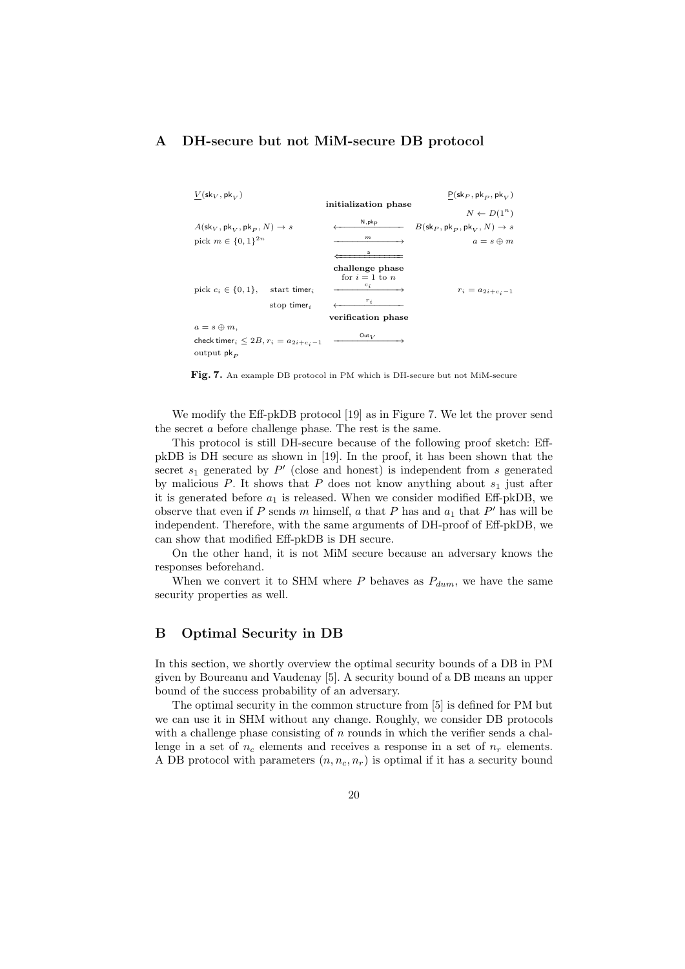## A DH-secure but not MiM-secure DB protocol



Fig. 7. An example DB protocol in PM which is DH-secure but not MiM-secure

We modify the Eff-pkDB protocol [19] as in Figure 7. We let the prover send the secret a before challenge phase. The rest is the same.

This protocol is still DH-secure because of the following proof sketch: EffpkDB is DH secure as shown in [19]. In the proof, it has been shown that the secret  $s_1$  generated by  $P'$  (close and honest) is independent from s generated by malicious  $P$ . It shows that  $P$  does not know anything about  $s_1$  just after it is generated before  $a_1$  is released. When we consider modified Eff-pkDB, we observe that even if P sends m himself, a that P has and  $a_1$  that P' has will be independent. Therefore, with the same arguments of DH-proof of Eff-pkDB, we can show that modified Eff-pkDB is DH secure.

On the other hand, it is not MiM secure because an adversary knows the responses beforehand.

When we convert it to SHM where P behaves as  $P_{dum}$ , we have the same security properties as well.

# B Optimal Security in DB

In this section, we shortly overview the optimal security bounds of a DB in PM given by Boureanu and Vaudenay [5]. A security bound of a DB means an upper bound of the success probability of an adversary.

The optimal security in the common structure from [5] is defined for PM but we can use it in SHM without any change. Roughly, we consider DB protocols with a challenge phase consisting of  $n$  rounds in which the verifier sends a challenge in a set of  $n_c$  elements and receives a response in a set of  $n_r$  elements. A DB protocol with parameters  $(n, n_c, n_r)$  is optimal if it has a security bound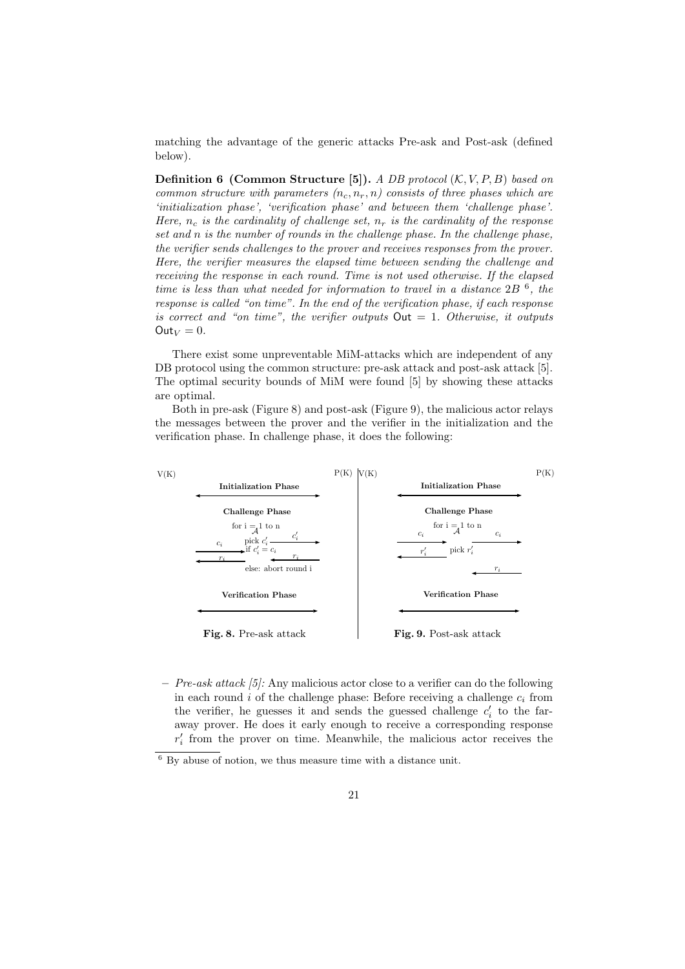matching the advantage of the generic attacks Pre-ask and Post-ask (defined below).

**Definition 6 (Common Structure [5]).** A DB protocol  $(K, V, P, B)$  based on common structure with parameters  $(n_c, n_r, n)$  consists of three phases which are 'initialization phase', 'verification phase' and between them 'challenge phase'. Here,  $n_c$  is the cardinality of challenge set,  $n_r$  is the cardinality of the response set and n is the number of rounds in the challenge phase. In the challenge phase, the verifier sends challenges to the prover and receives responses from the prover. Here, the verifier measures the elapsed time between sending the challenge and receiving the response in each round. Time is not used otherwise. If the elapsed time is less than what needed for information to travel in a distance  $2B<sup>6</sup>$ , the response is called "on time". In the end of the verification phase, if each response is correct and "on time", the verifier outputs  $Out = 1$ . Otherwise, it outputs Out<sub> $V$ </sub> = 0.

There exist some unpreventable MiM-attacks which are independent of any DB protocol using the common structure: pre-ask attack and post-ask attack [5]. The optimal security bounds of MiM were found [5] by showing these attacks are optimal.

Both in pre-ask (Figure 8) and post-ask (Figure 9), the malicious actor relays the messages between the prover and the verifier in the initialization and the verification phase. In challenge phase, it does the following:



 $-Pre-ask attack [5]:$  Any malicious actor close to a verifier can do the following in each round i of the challenge phase: Before receiving a challenge  $c_i$  from the verifier, he guesses it and sends the guessed challenge  $c_i'$  to the faraway prover. He does it early enough to receive a corresponding response  $r_i'$  from the prover on time. Meanwhile, the malicious actor receives the

 $6$  By abuse of notion, we thus measure time with a distance unit.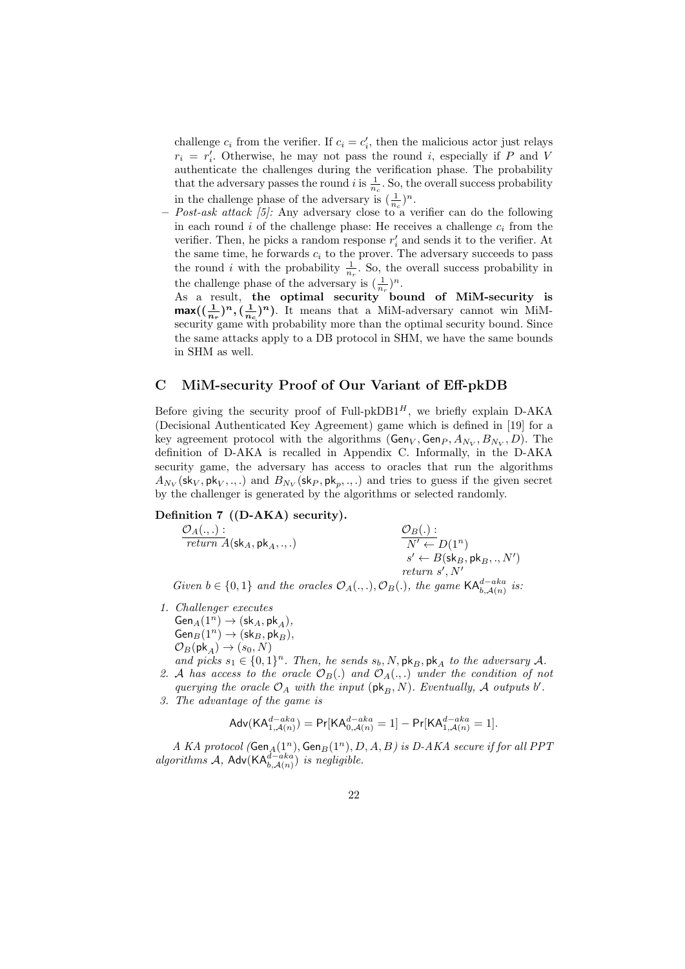challenge  $c_i$  from the verifier. If  $c_i = c'_i$ , then the malicious actor just relays  $r_i = r'_i$ . Otherwise, he may not pass the round i, especially if P and V authenticate the challenges during the verification phase. The probability that the adversary passes the round *i* is  $\frac{1}{n_c}$ . So, the overall success probability in the challenge phase of the adversary is  $(\frac{1}{n_c})^n$ .

– Post-ask attack [5]: Any adversary close to a verifier can do the following in each round  $i$  of the challenge phase: He receives a challenge  $c_i$  from the verifier. Then, he picks a random response  $r_i'$  and sends it to the verifier. At the same time, he forwards  $c_i$  to the prover. The adversary succeeds to pass the round *i* with the probability  $\frac{1}{n_r}$ . So, the overall success probability in the challenge phase of the adversary is  $(\frac{1}{n_r})^n$ .

As a result, the optimal security bound of MiM-security is  $\max((\frac{1}{n_r})^n, (\frac{1}{n_c})^n)$ . It means that a MiM-adversary cannot win MiMsecurity game with probability more than the optimal security bound. Since the same attacks apply to a DB protocol in SHM, we have the same bounds in SHM as well.

# C MiM-security Proof of Our Variant of Eff-pkDB

Before giving the security proof of Full-pkDB1<sup>H</sup>, we briefly explain D-AKA (Decisional Authenticated Key Agreement) game which is defined in [19] for a key agreement protocol with the algorithms  $(\mathsf{Gen}_V, \mathsf{Gen}_P, A_{N_V}, B_{N_V}, D)$ . The definition of D-AKA is recalled in Appendix C. Informally, in the D-AKA security game, the adversary has access to oracles that run the algorithms  $A_{N_V}(\mathsf{sk}_V, \mathsf{pk}_V, \ldots)$  and  $B_{N_V}(\mathsf{sk}_P, \mathsf{pk}_p, \ldots)$  and tries to guess if the given secret by the challenger is generated by the algorithms or selected randomly.

## Definition 7 ((D-AKA) security).

| $\mathcal{O}_A(.,.):$                                            | $\mathcal{O}_B(.)$ :                                       |
|------------------------------------------------------------------|------------------------------------------------------------|
| $\overline{return A}$ (sk <sub>A</sub> , pk <sub>A</sub> , ., .) | $N' \leftarrow D(1^n)$                                     |
|                                                                  | $s' \leftarrow B(\mathsf{sk}_B, \mathsf{pk}_B, \cdot, N')$ |
|                                                                  | return $s', N'$                                            |
|                                                                  |                                                            |

Given  $b \in \{0,1\}$  and the oracles  $\mathcal{O}_A(.,.), \mathcal{O}_B(.)$ , the game  $\mathsf{KA}_{b,\mathcal{A}(n)}^{d-aka}$  is:

1. Challenger executes

 $Gen_A(1^n) \rightarrow (sk_A, pk_A),$  $\mathsf{Gen}_B(1^n) \to (\mathsf{sk}_B, \mathsf{pk}_B),$ 

 $\mathcal{O}_B(\mathsf{pk}_A) \to (s_0, N)$ 

and picks  $s_1 \in \{0,1\}^n$ . Then, he sends  $s_b$ , N,  $\mathsf{pk}_B$ ,  $\mathsf{pk}_A$  to the adversary A.

- 2. A has access to the oracle  $\mathcal{O}_B(.)$  and  $\mathcal{O}_A(.,.)$  under the condition of not querying the oracle  $\mathcal{O}_A$  with the input  $(\mathsf{pk}_B, N)$ . Eventually, A outputs b'.
- 3. The advantage of the game is

$$
Adv(KA_{1,\mathcal{A}(n)}^{d-aka}) = Pr[KA_{0,\mathcal{A}(n)}^{d-aka} = 1] - Pr[KA_{1,\mathcal{A}(n)}^{d-aka} = 1].
$$

A KA protocol ( $\mathsf{Gen}_A(1^n)$ ,  $\mathsf{Gen}_B(1^n), D, A, B)$  is D-AKA secure if for all PPT algorithms A, Adv $(KA_{b,\mathcal{A}(n)}^{d-aka})$  is negligible.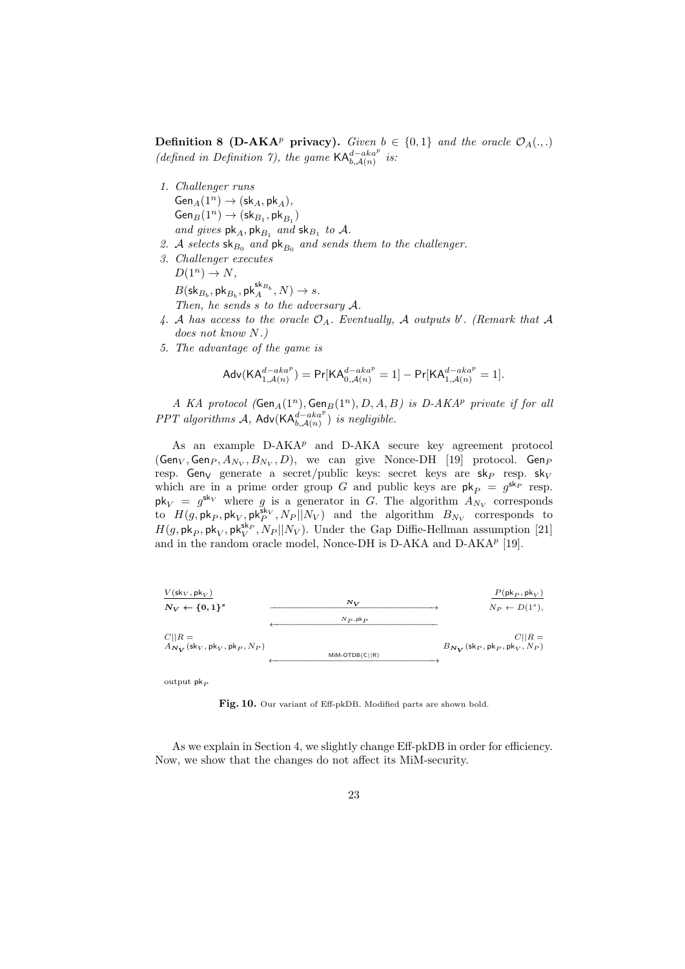**Definition 8 (D-AKA**<sup>p</sup> privacy). Given  $b \in \{0,1\}$  and the oracle  $\mathcal{O}_A(.,.)$ (defined in Definition 7), the game  $\mathsf{KA}_{b,\mathcal{A}(n)}^{d-aka^{p}}$  is:

- 1. Challenger runs  $Gen_A(1^n) \rightarrow (sk_A, pk_A),$  $\mathsf{Gen}_B(1^n) \to (\mathsf{sk}_{B_1}, \mathsf{pk}_{B_1})$ and gives  $\mathsf{pk}_A$ ,  $\mathsf{pk}_{B_1}$  and  $\mathsf{sk}_{B_1}$  to A.
- 2. A selects  $sk_{B_0}$  and  $pk_{B_0}$  and sends them to the challenger.
- 3. Challenger executes  $D(1^n) \rightarrow N$ ,  $B(\mathsf{sk}_{B_b},\allowbreak \mathsf{pk}_{B_b},\allowbreak \mathsf{pk}_{A}^{\mathsf{sk}_{B_b}},\allowbreak N)\rightarrow s.$ Then, he sends s to the adversary A.
- 4. A has access to the oracle  $\mathcal{O}_A$ . Eventually, A outputs b'. (Remark that A does not know N.)
- 5. The advantage of the game is

$$
Adv(KA_{1,\mathcal{A}(n)}^{d-aka^{p}}) = Pr[KA_{0,\mathcal{A}(n)}^{d-aka^{p}} = 1] - Pr[KA_{1,\mathcal{A}(n)}^{d-aka^{p}} = 1].
$$

A KA protocol ( $Gen_A(1^n)$ ,  $Gen_B(1^n)$ ,  $D, A, B$ ) is  $D-AKA^p$  private if for all  $PPT$  algorithms A,  $\mathsf{Adv}(\mathsf{KA}_{b,\mathcal{A}(n)}^{d-aka^p})$  is negligible.

As an example  $D-AKA^p$  and  $D-AKA$  secure key agreement protocol  $(\mathsf{Gen}_V, \mathsf{Gen}_P, A_{N_V}, B_{N_V}, D)$ , we can give Nonce-DH [19] protocol. Gen<sub>F</sub> resp. Gen<sub>V</sub> generate a secret/public keys: secret keys are sk<sub>P</sub> resp. sk<sub>V</sub> which are in a prime order group G and public keys are  $pk_P = g^{sk_P}$  resp.  $pk_V = g^{sk_V}$  where g is a generator in G. The algorithm  $A_{N_V}$  corresponds to  $H(g, \mathsf{pk}_P, \mathsf{pk}_V, \mathsf{pk}_P^{\mathsf{sk}_V}, N_P||N_V)$  and the algorithm  $B_{N_V}$  corresponds to  $H(g, \mathsf{pk}_P, \mathsf{pk}_V, \mathsf{pk}_V^{\mathsf{sk}_P}, N_P||N_V)$ . Under the Gap Diffie-Hellman assumption [21] and in the random oracle model, Nonce-DH is D-AKA and D-AKA $^p$  [19].



output  $pk_P$ 

Fig. 10. Our variant of Eff-pkDB. Modified parts are shown bold.

As we explain in Section 4, we slightly change Eff-pkDB in order for efficiency. Now, we show that the changes do not affect its MiM-security.